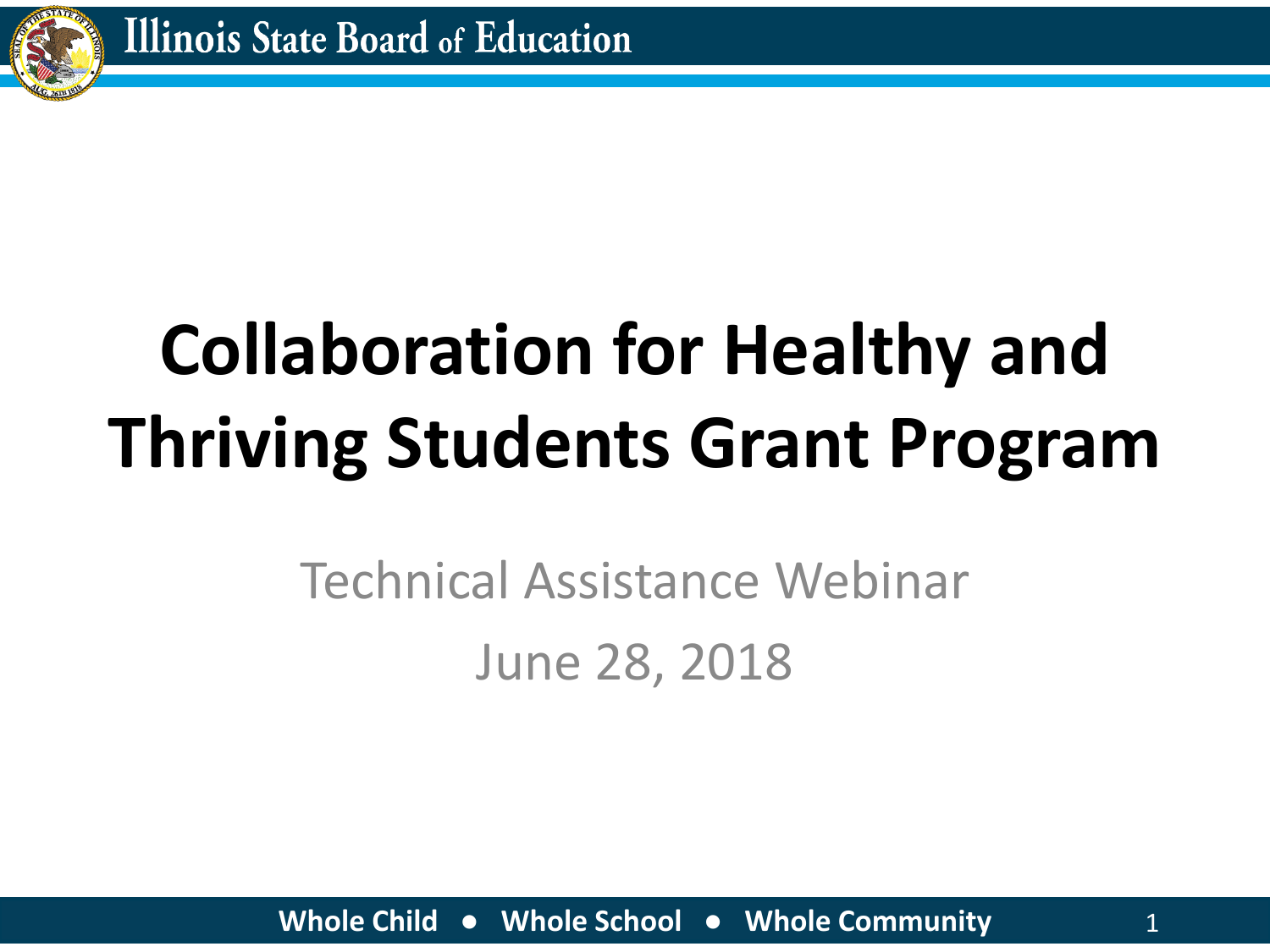

# **Collaboration for Healthy and Thriving Students Grant Program**

### Technical Assistance Webinar June 28, 2018

**Whole Child ● Whole School ● Whole Community** 1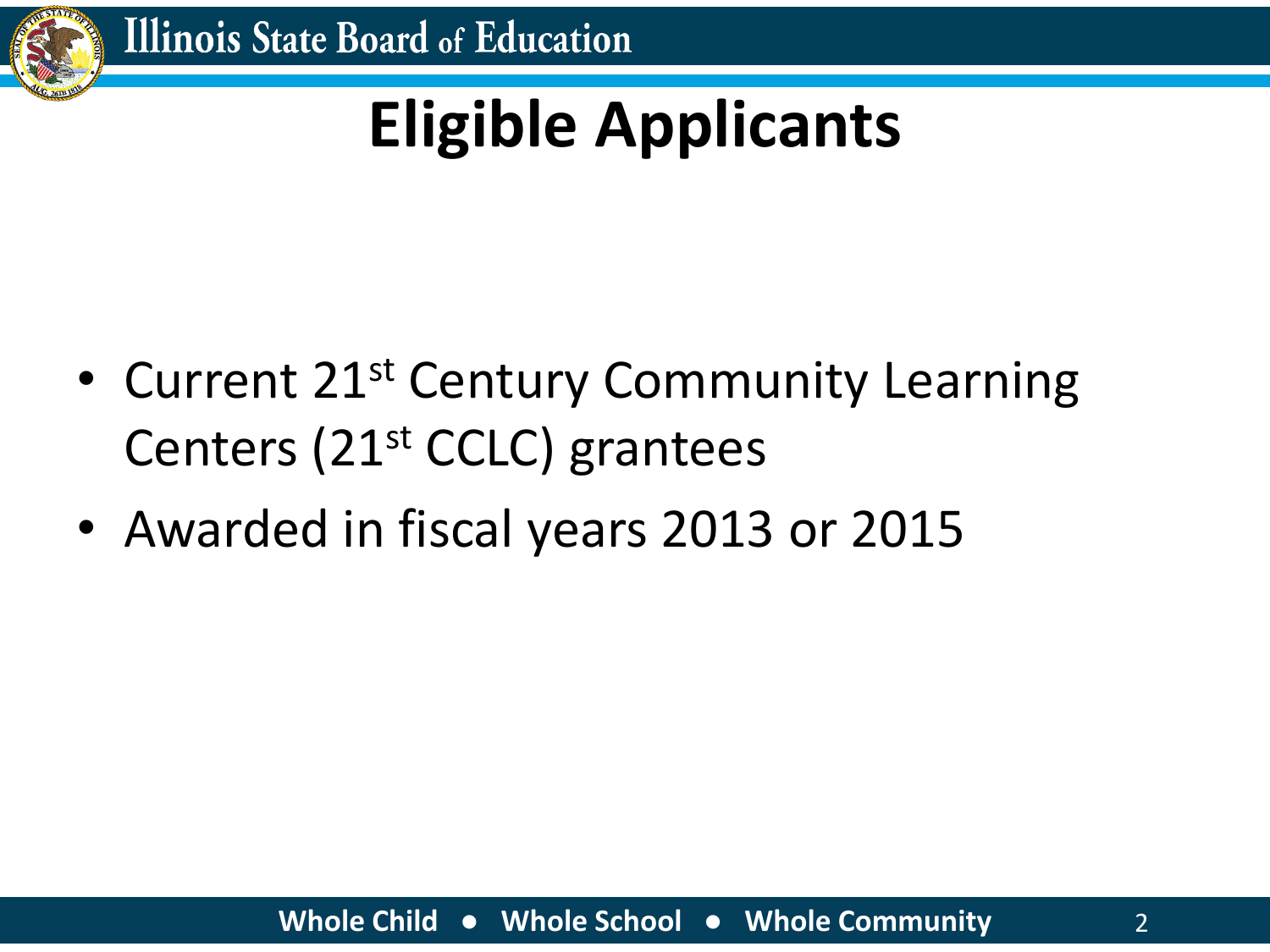

## **Eligible Applicants**

- Current 21<sup>st</sup> Century Community Learning Centers (21st CCLC) grantees
- Awarded in fiscal years 2013 or 2015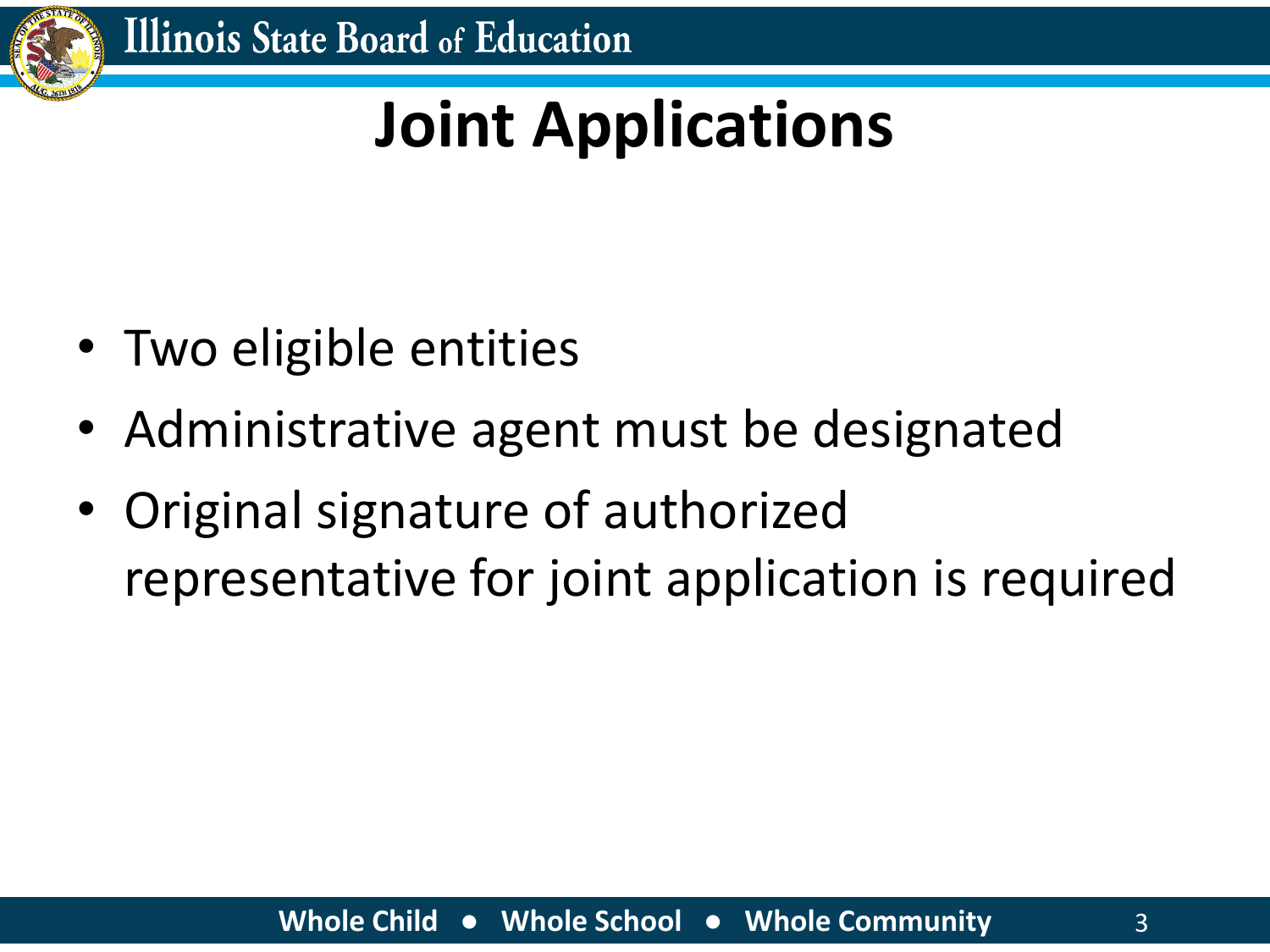

### **Joint Applications**

- Two eligible entities
- Administrative agent must be designated
- Original signature of authorized representative for joint application is required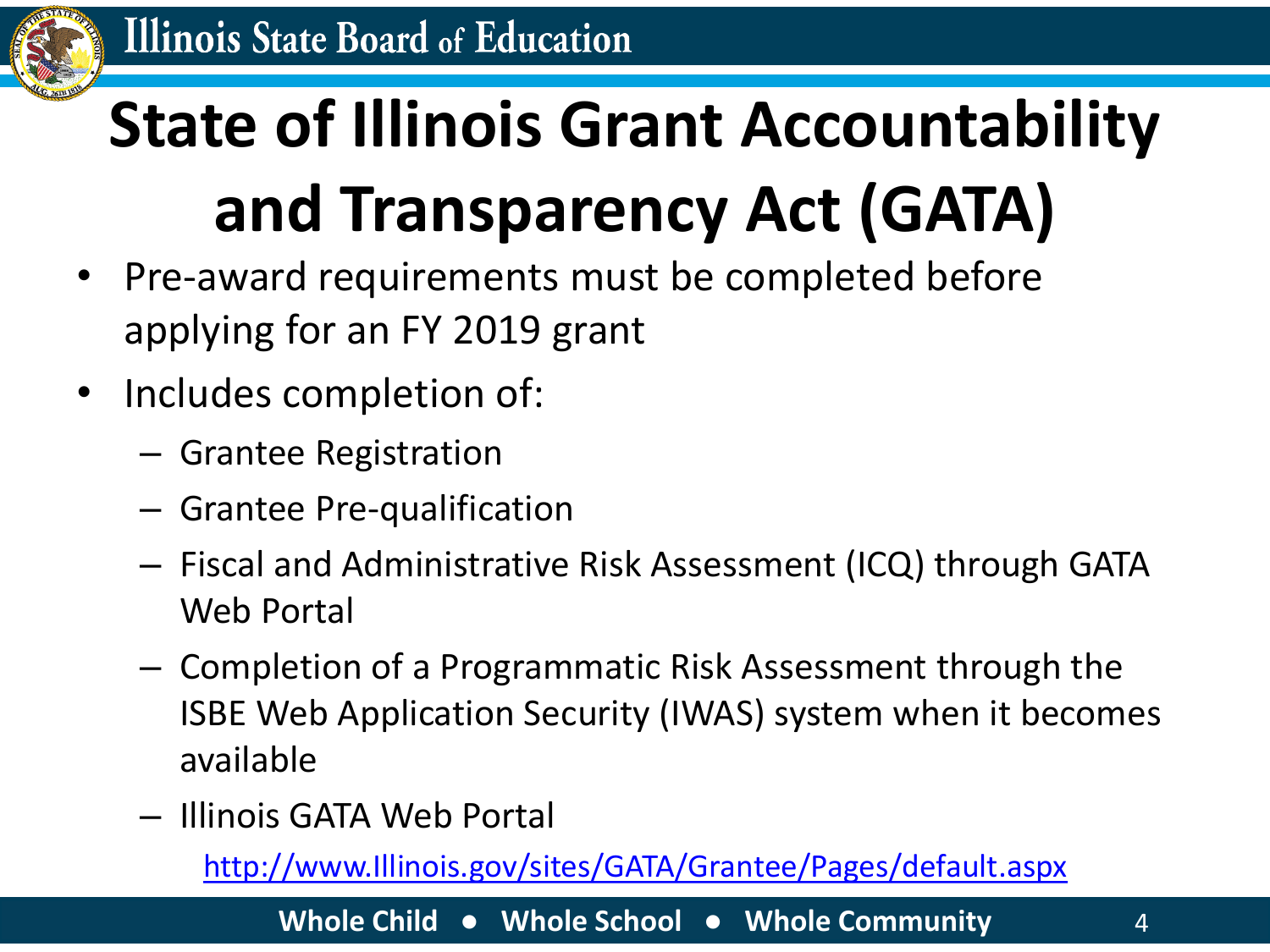

# **State of Illinois Grant Accountability and Transparency Act (GATA)**

- Pre-award requirements must be completed before applying for an FY 2019 grant
- Includes completion of:
	- Grantee Registration
	- Grantee Pre-qualification
	- Fiscal and Administrative Risk Assessment (ICQ) through GATA Web Portal
	- Completion of a Programmatic Risk Assessment through the ISBE Web Application Security (IWAS) system when it becomes available
	- Illinois GATA Web Portal

[http://www.Illinois.gov/sites/GATA/Grantee/Pages/default.aspx](https://www2.illinois.gov/sites/GATA/grantee/pages/default.aspx)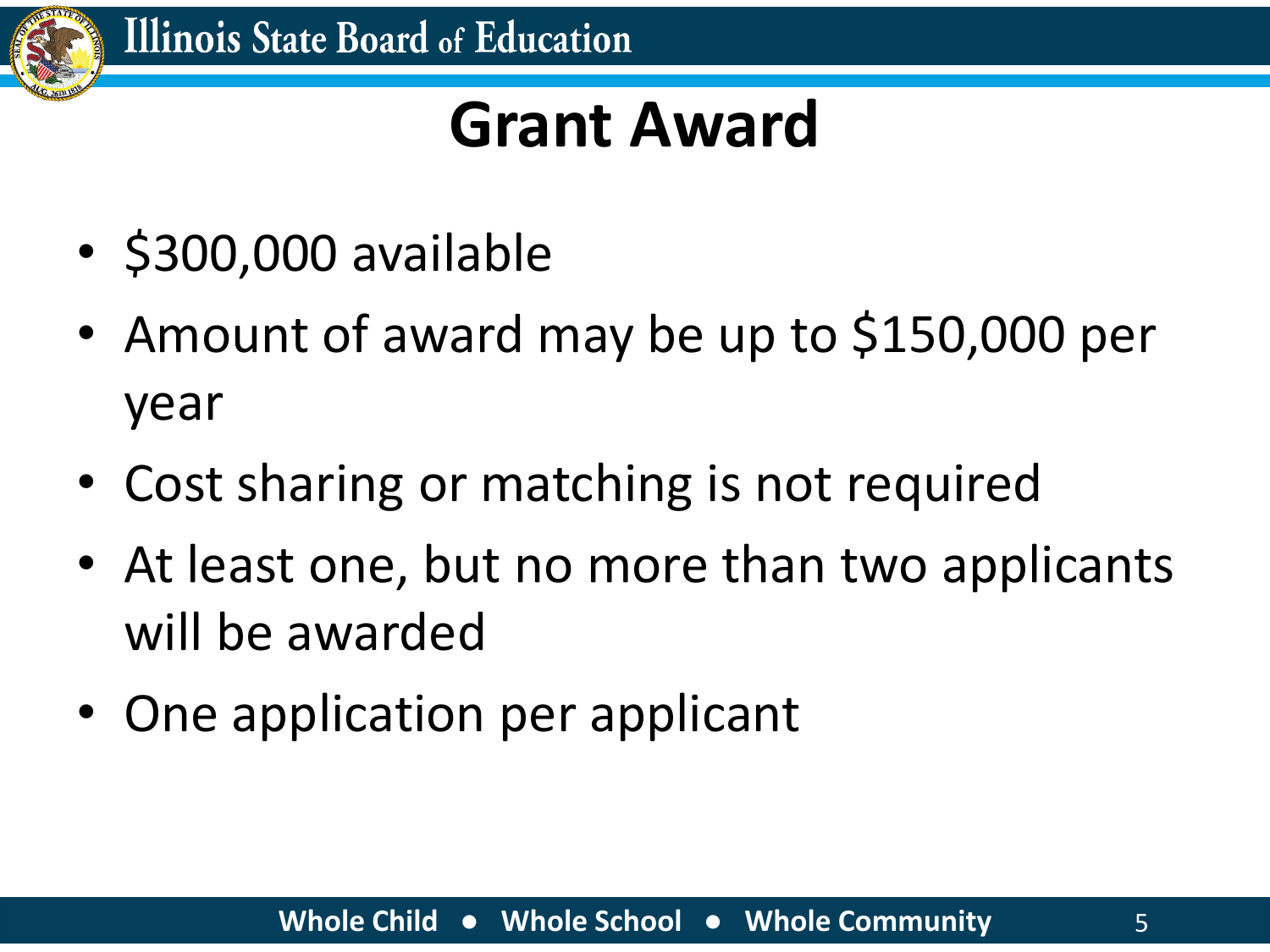

#### **Grant Award**

- \$300,000 available
- Amount of award may be up to \$150,000 per year
- Cost sharing or matching is not required
- At least one, but no more than two applicants will be awarded
- One application per applicant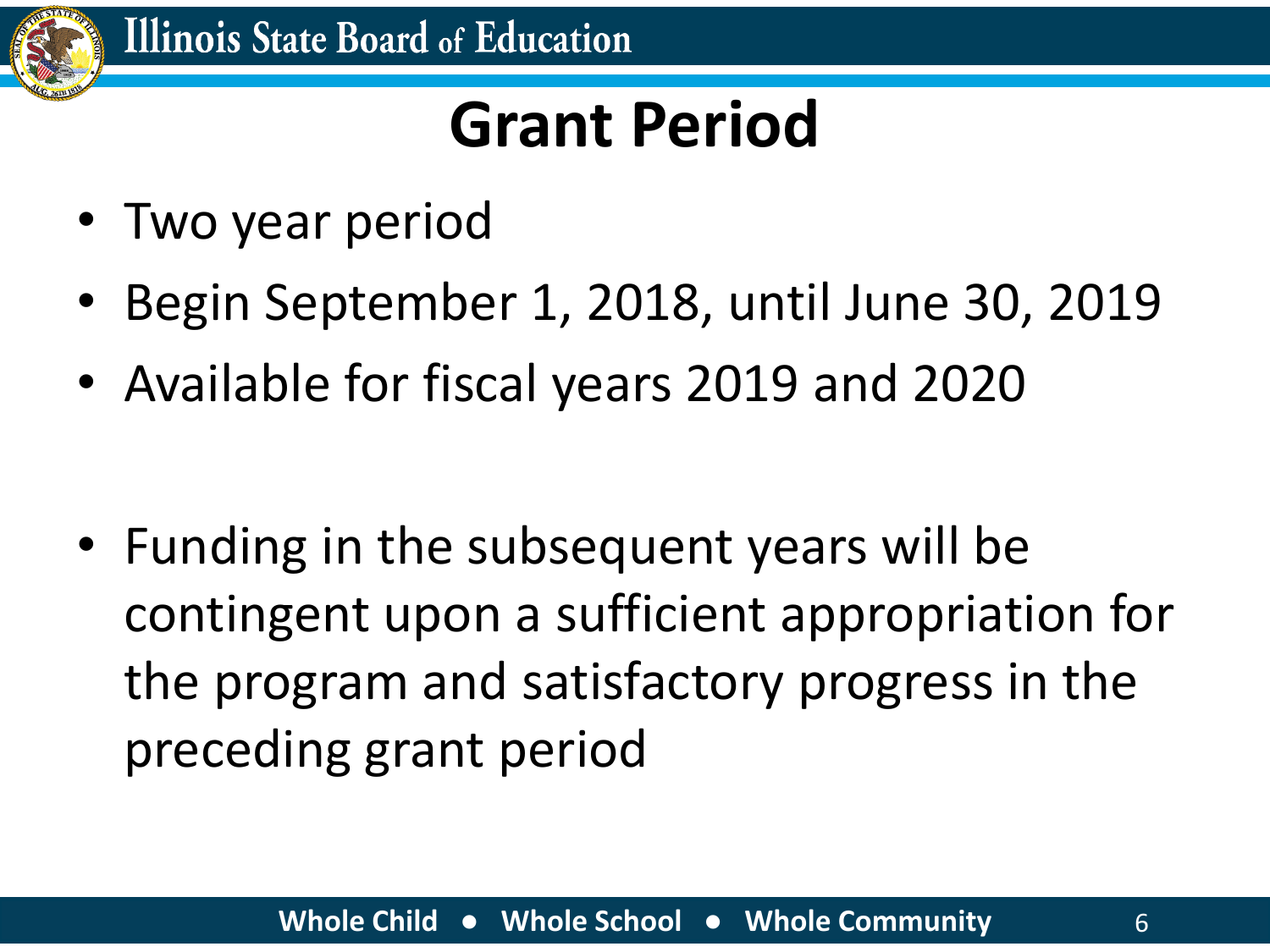

### **Grant Period**

- Two year period
- Begin September 1, 2018, until June 30, 2019
- Available for fiscal years 2019 and 2020

• Funding in the subsequent years will be contingent upon a sufficient appropriation for the program and satisfactory progress in the preceding grant period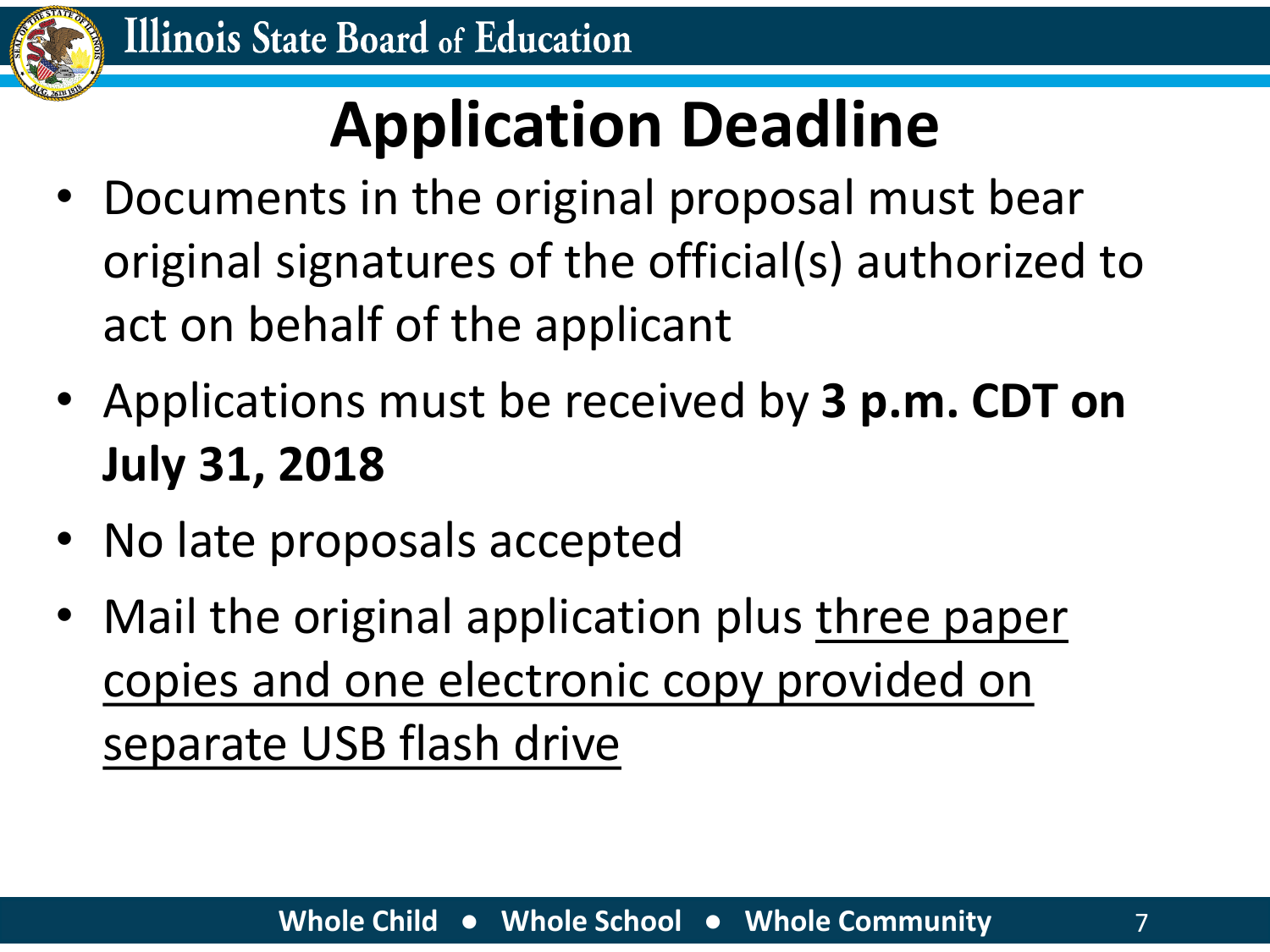

### **Application Deadline**

- Documents in the original proposal must bear original signatures of the official(s) authorized to act on behalf of the applicant
- Applications must be received by **3 p.m. CDT on July 31, 2018**
- No late proposals accepted
- Mail the original application plus three paper copies and one electronic copy provided on separate USB flash drive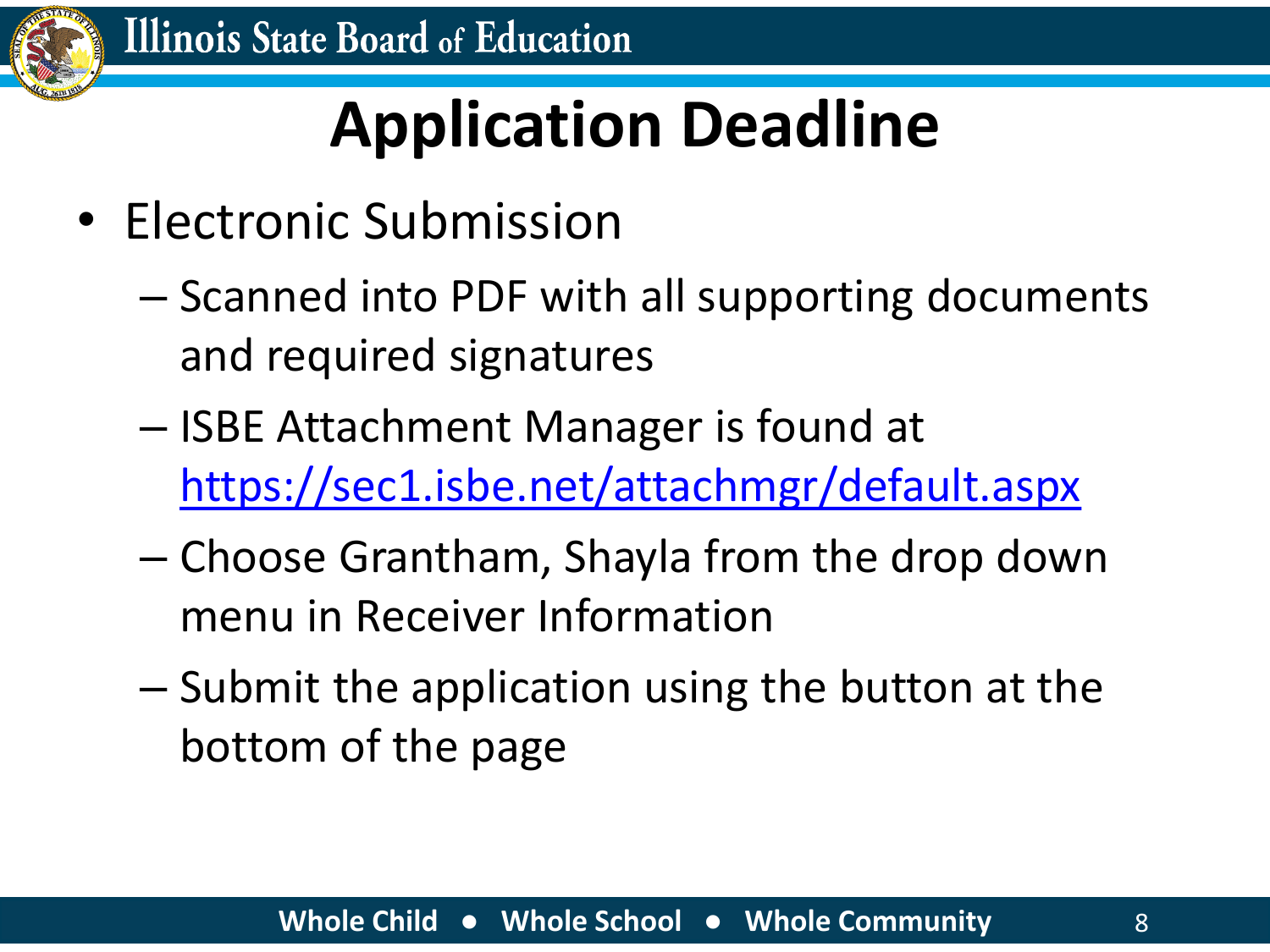

### **Application Deadline**

- Electronic Submission
	- Scanned into PDF with all supporting documents and required signatures
	- ISBE Attachment Manager is found at <https://sec1.isbe.net/attachmgr/default.aspx>
	- Choose Grantham, Shayla from the drop down menu in Receiver Information
	- Submit the application using the button at the bottom of the page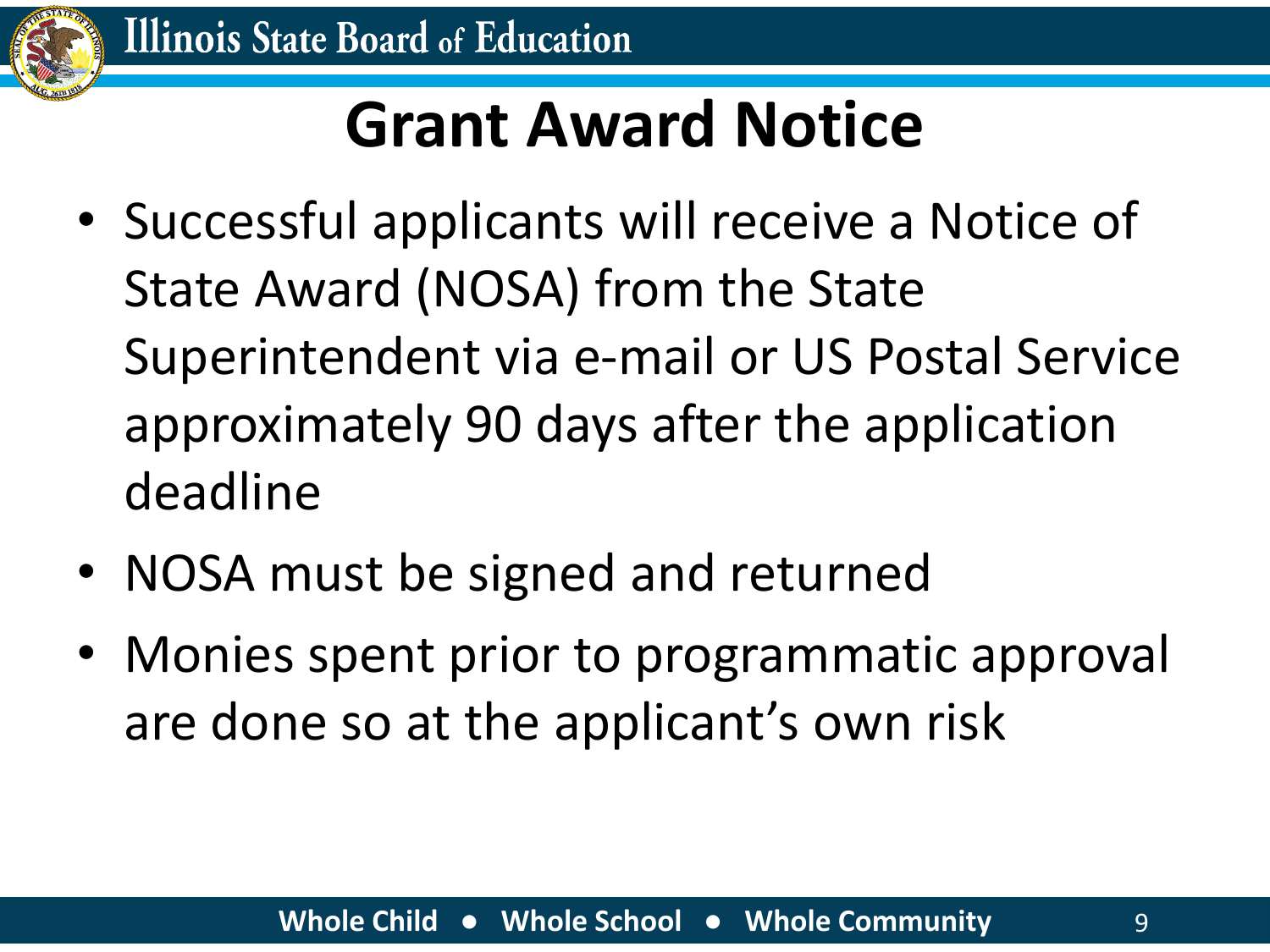

### **Grant Award Notice**

- Successful applicants will receive a Notice of State Award (NOSA) from the State Superintendent via e-mail or US Postal Service approximately 90 days after the application deadline
- NOSA must be signed and returned
- Monies spent prior to programmatic approval are done so at the applicant's own risk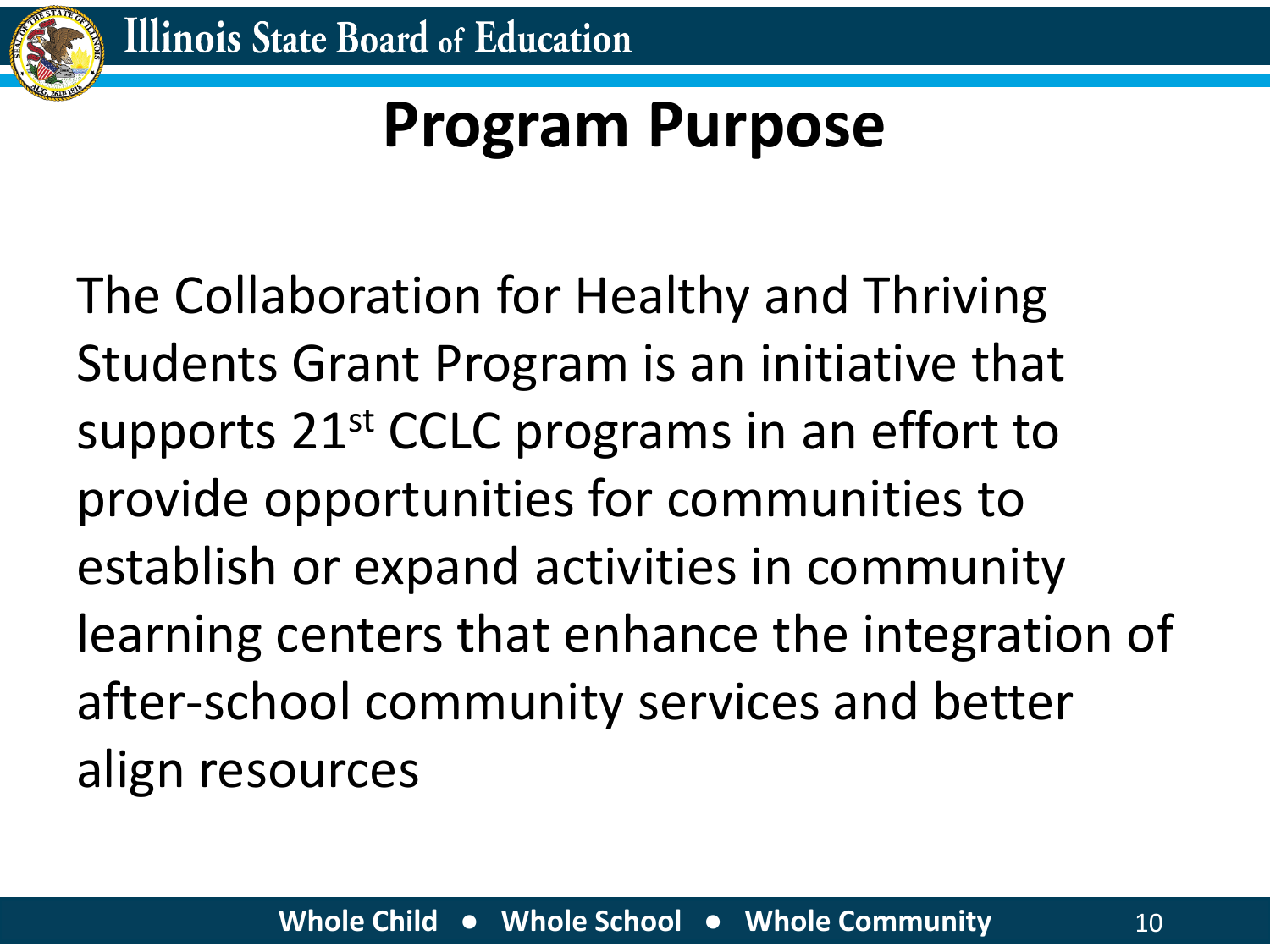

### **Program Purpose**

The Collaboration for Healthy and Thriving Students Grant Program is an initiative that supports 21<sup>st</sup> CCLC programs in an effort to provide opportunities for communities to establish or expand activities in community learning centers that enhance the integration of after-school community services and better align resources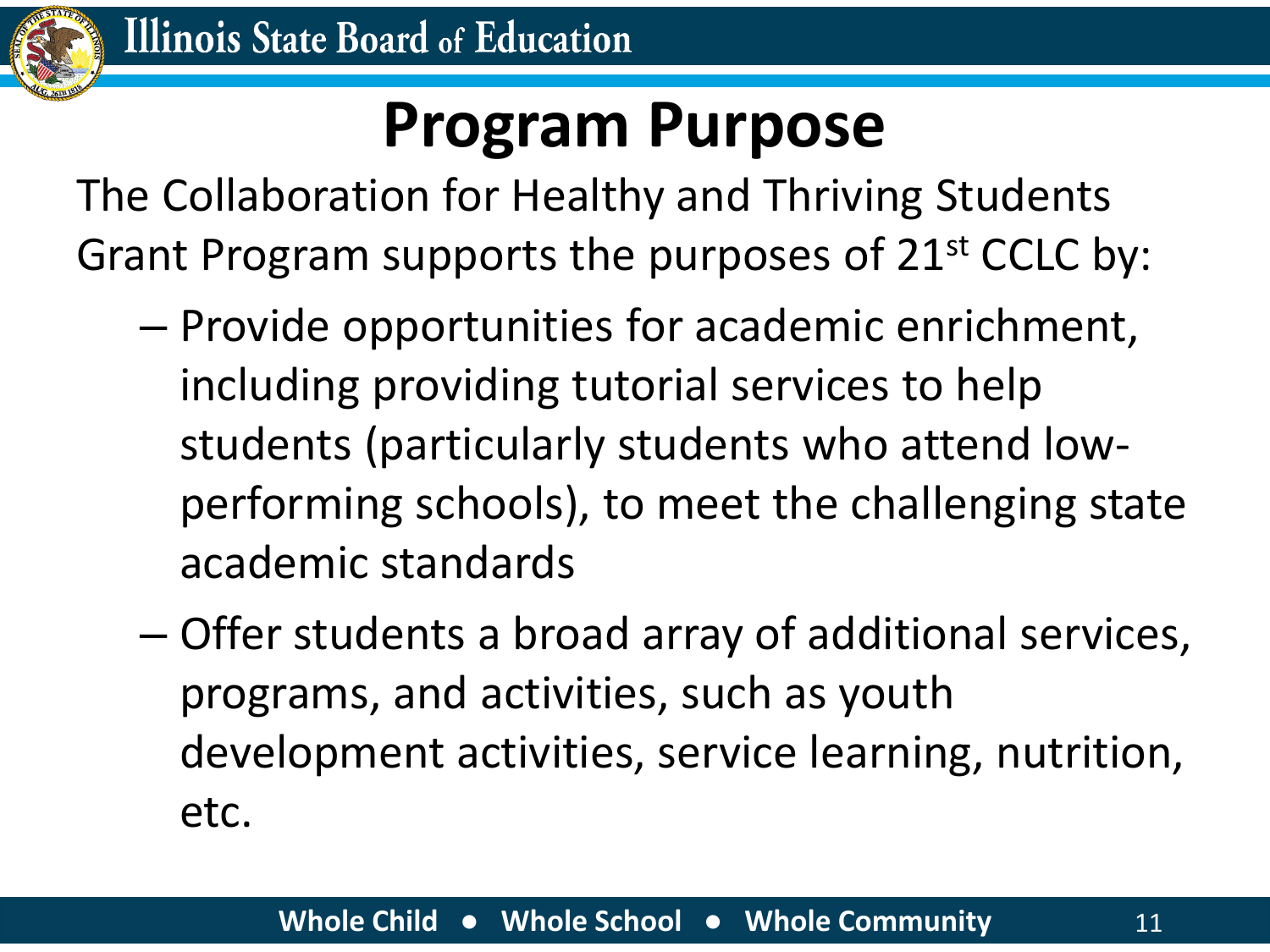

#### **Program Purpose**

The Collaboration for Healthy and Thriving Students Grant Program supports the purposes of 21<sup>st</sup> CCLC by:

- Provide opportunities for academic enrichment, including providing tutorial services to help students (particularly students who attend lowperforming schools), to meet the challenging state academic standards
- Offer students a broad array of additional services, programs, and activities, such as youth development activities, service learning, nutrition, etc.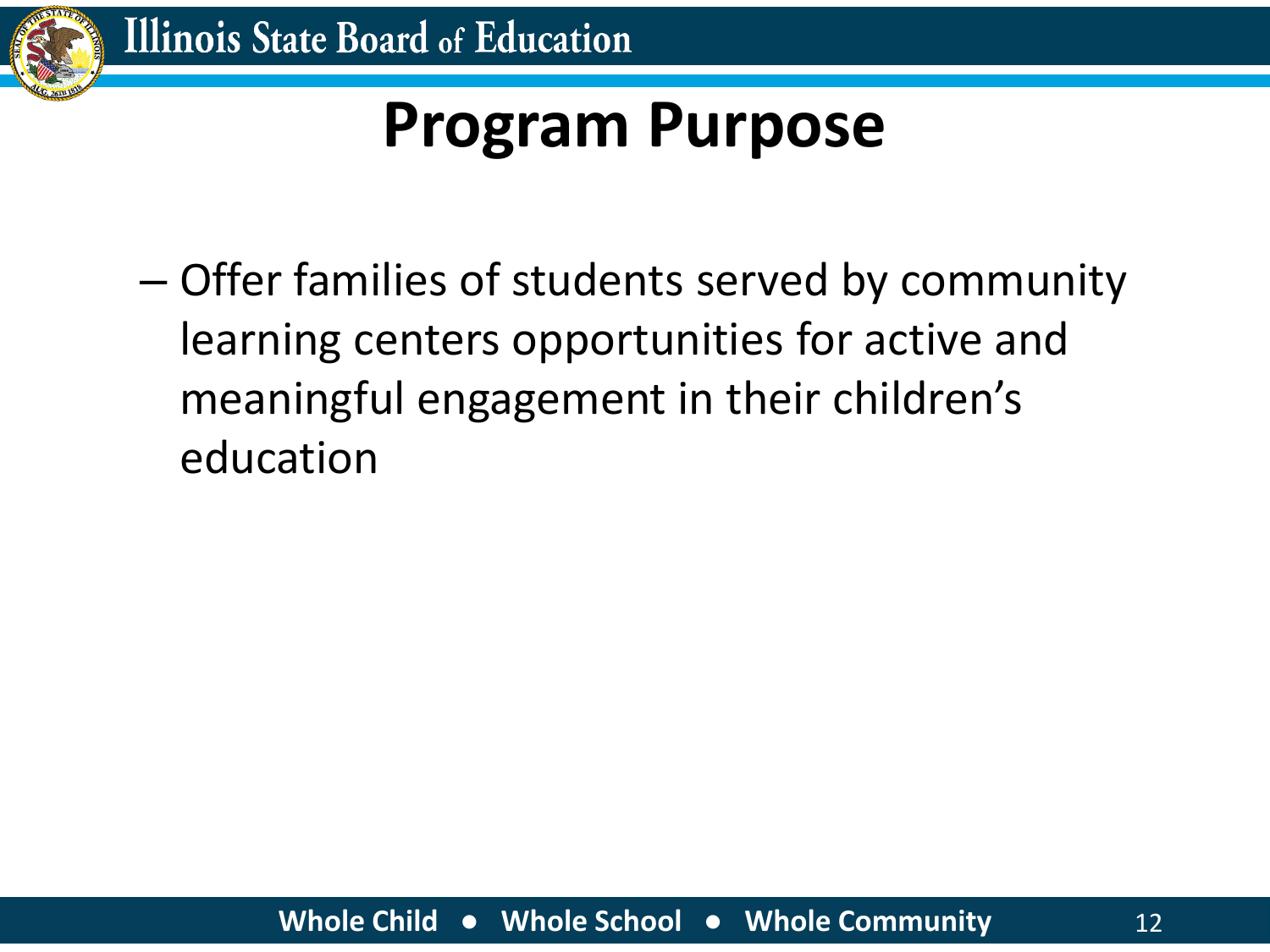![](_page_11_Picture_0.jpeg)

### **Program Purpose**

– Offer families of students served by community learning centers opportunities for active and meaningful engagement in their children's education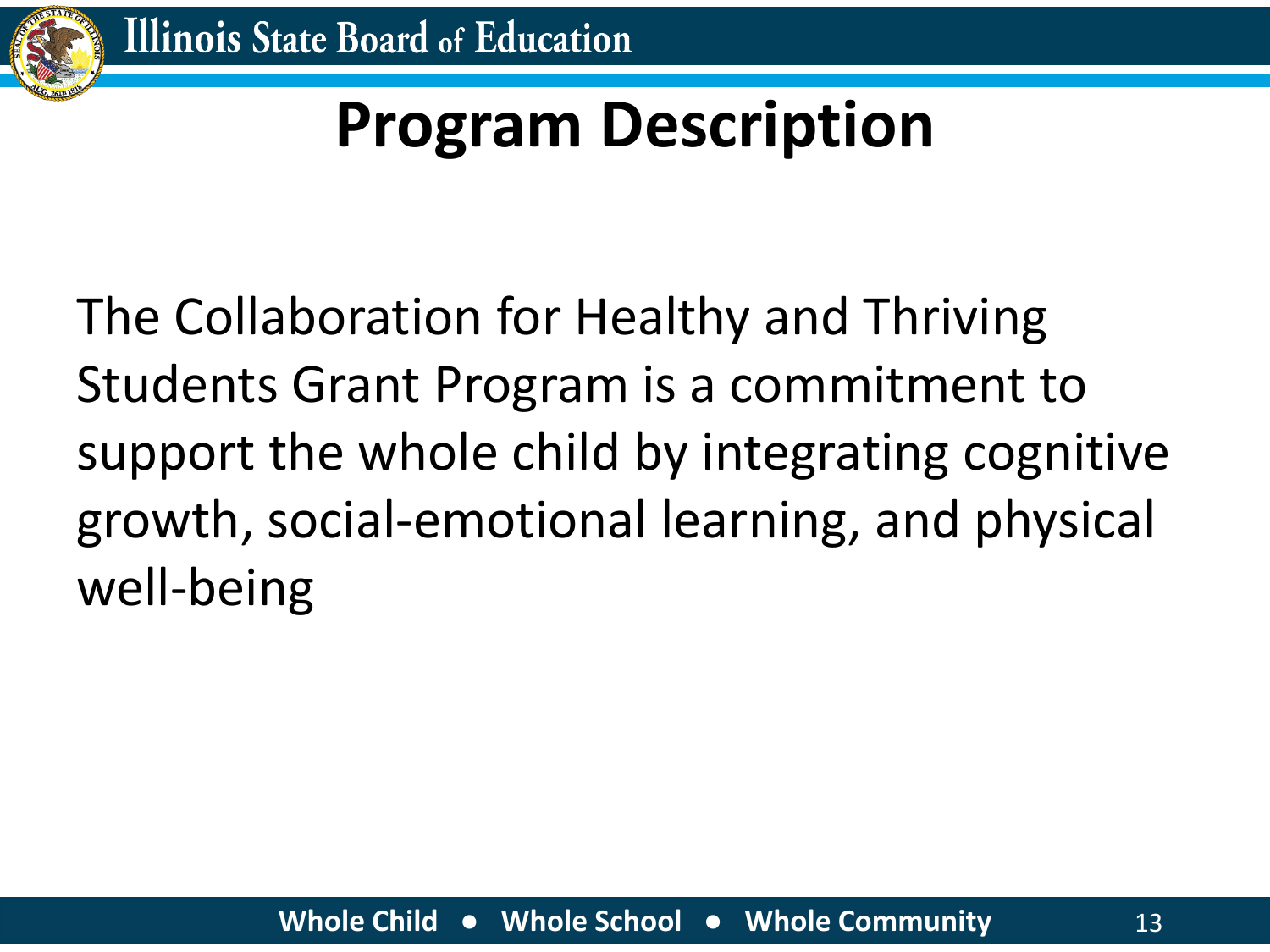![](_page_12_Picture_0.jpeg)

### **Program Description**

The Collaboration for Healthy and Thriving Students Grant Program is a commitment to support the whole child by integrating cognitive growth, social-emotional learning, and physical well-being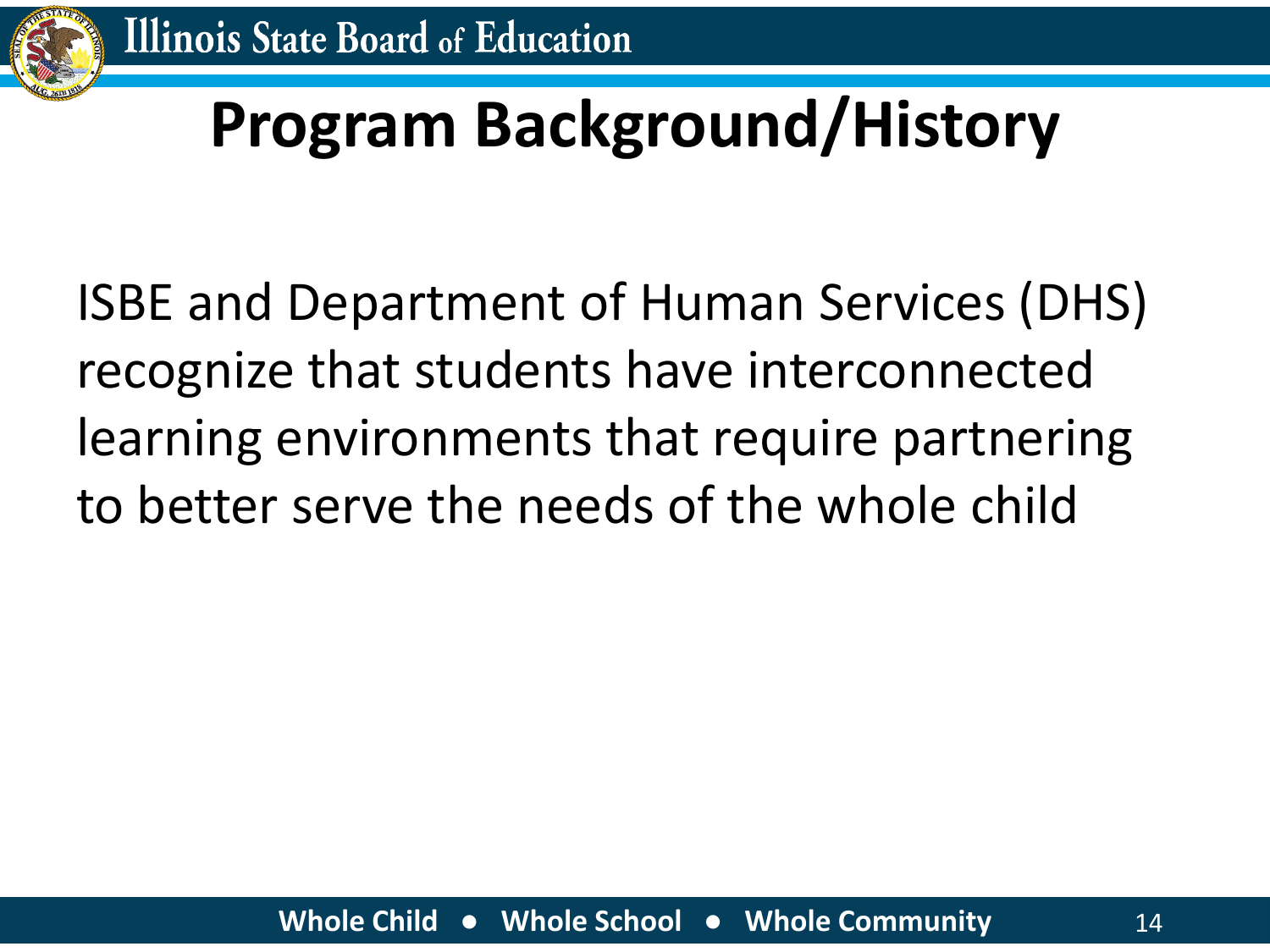![](_page_13_Picture_0.jpeg)

### **Program Background/History**

ISBE and Department of Human Services (DHS) recognize that students have interconnected learning environments that require partnering to better serve the needs of the whole child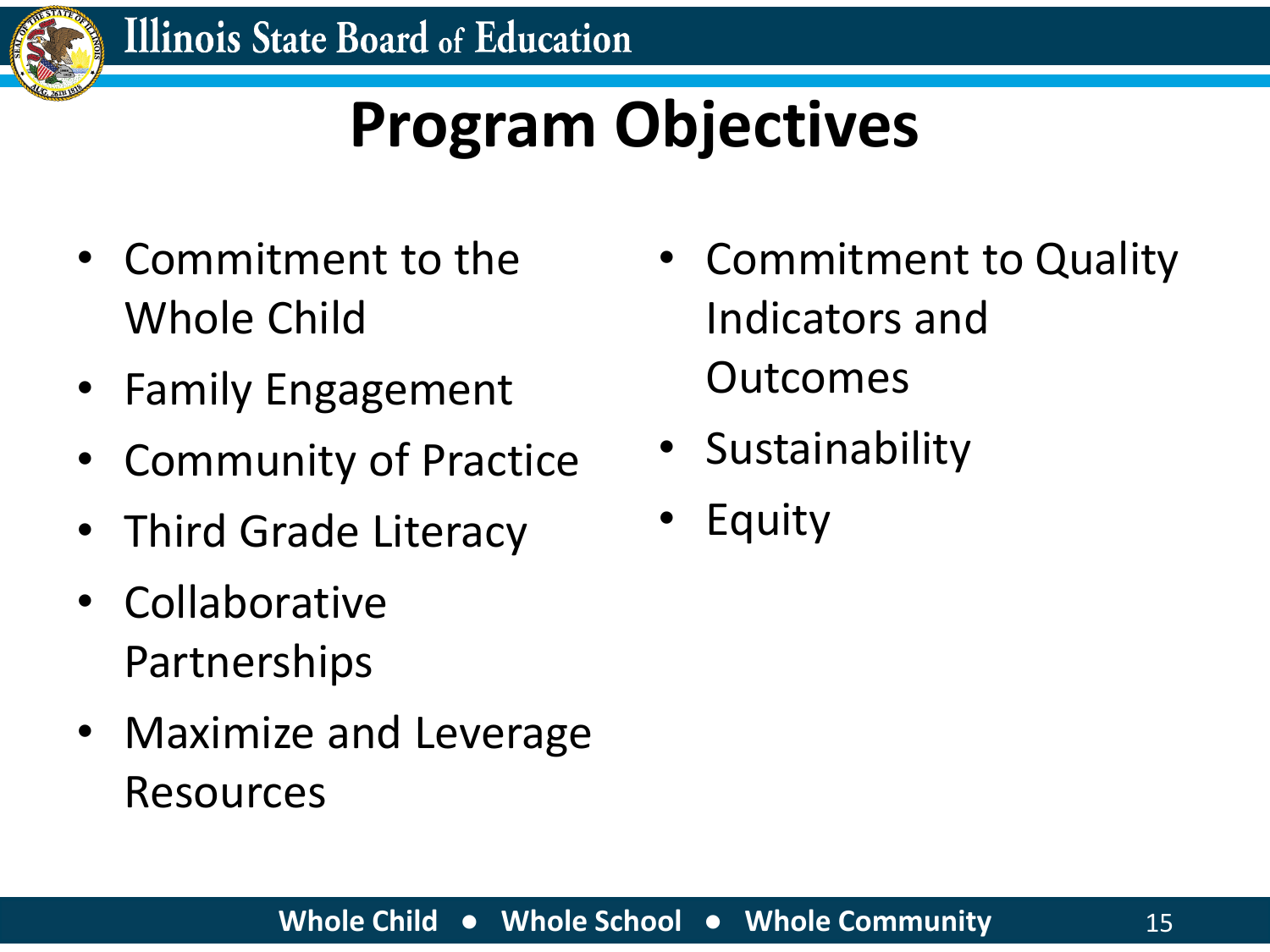![](_page_14_Picture_0.jpeg)

### **Program Objectives**

- Commitment to the Whole Child
- Family Engagement
- Community of Practice
- Third Grade Literacy
- Collaborative Partnerships
- Maximize and Leverage Resources
- Commitment to Quality Indicators and Outcomes
- Sustainability
- **Equity**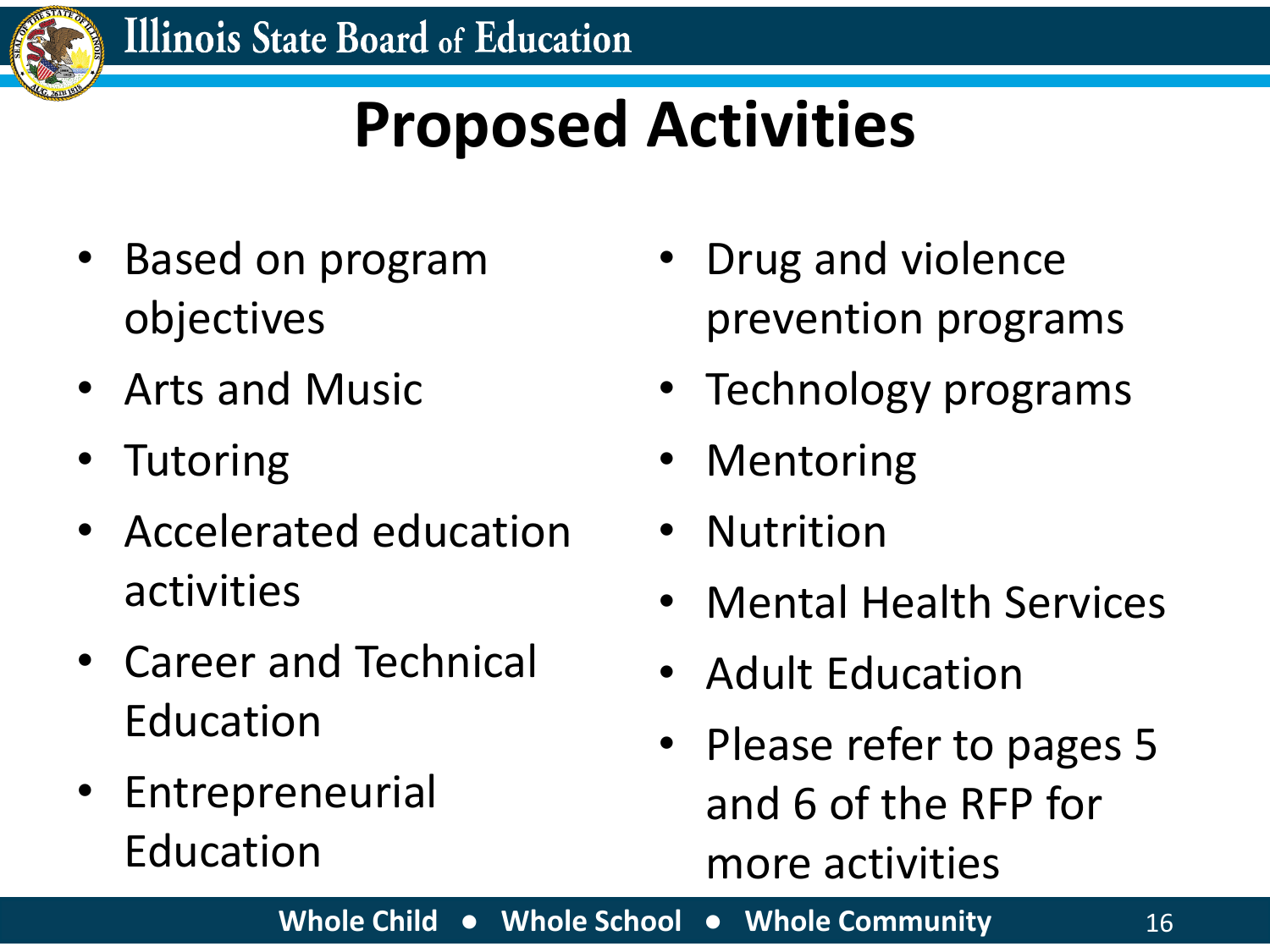![](_page_15_Picture_0.jpeg)

### **Proposed Activities**

- Based on program objectives
- Arts and Music
- Tutoring
- Accelerated education activities
- Career and Technical Education
- Entrepreneurial Education
- Drug and violence prevention programs
- Technology programs
- Mentoring
- Nutrition
- Mental Health Services
- Adult Education
- Please refer to pages 5 and 6 of the RFP for more activities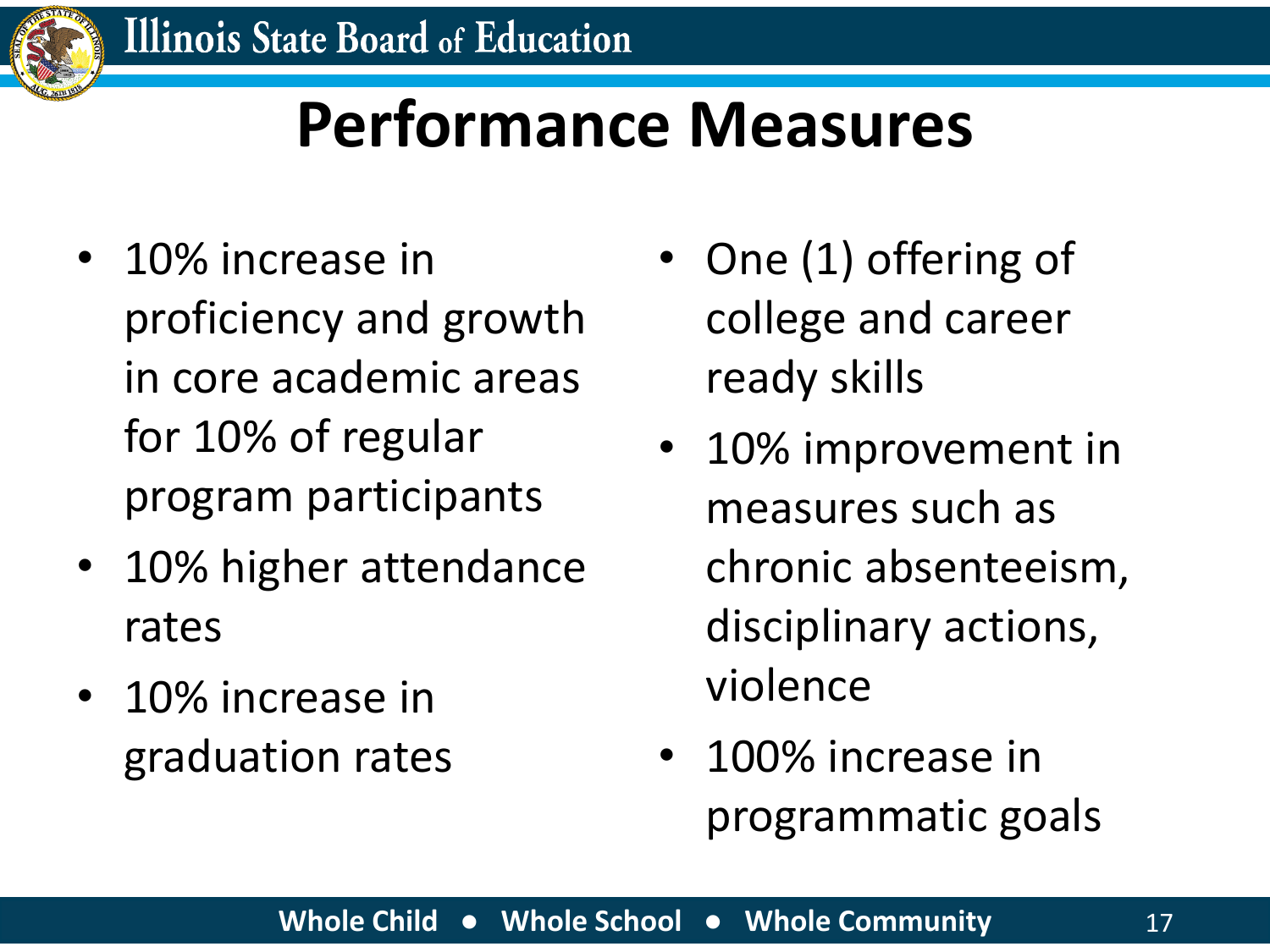![](_page_16_Picture_0.jpeg)

#### **Performance Measures**

- 10% increase in proficiency and growth in core academic areas for 10% of regular program participants
- 10% higher attendance rates
- 10% increase in graduation rates
- One (1) offering of college and career ready skills
- 10% improvement in measures such as chronic absenteeism, disciplinary actions, violence
- 100% increase in programmatic goals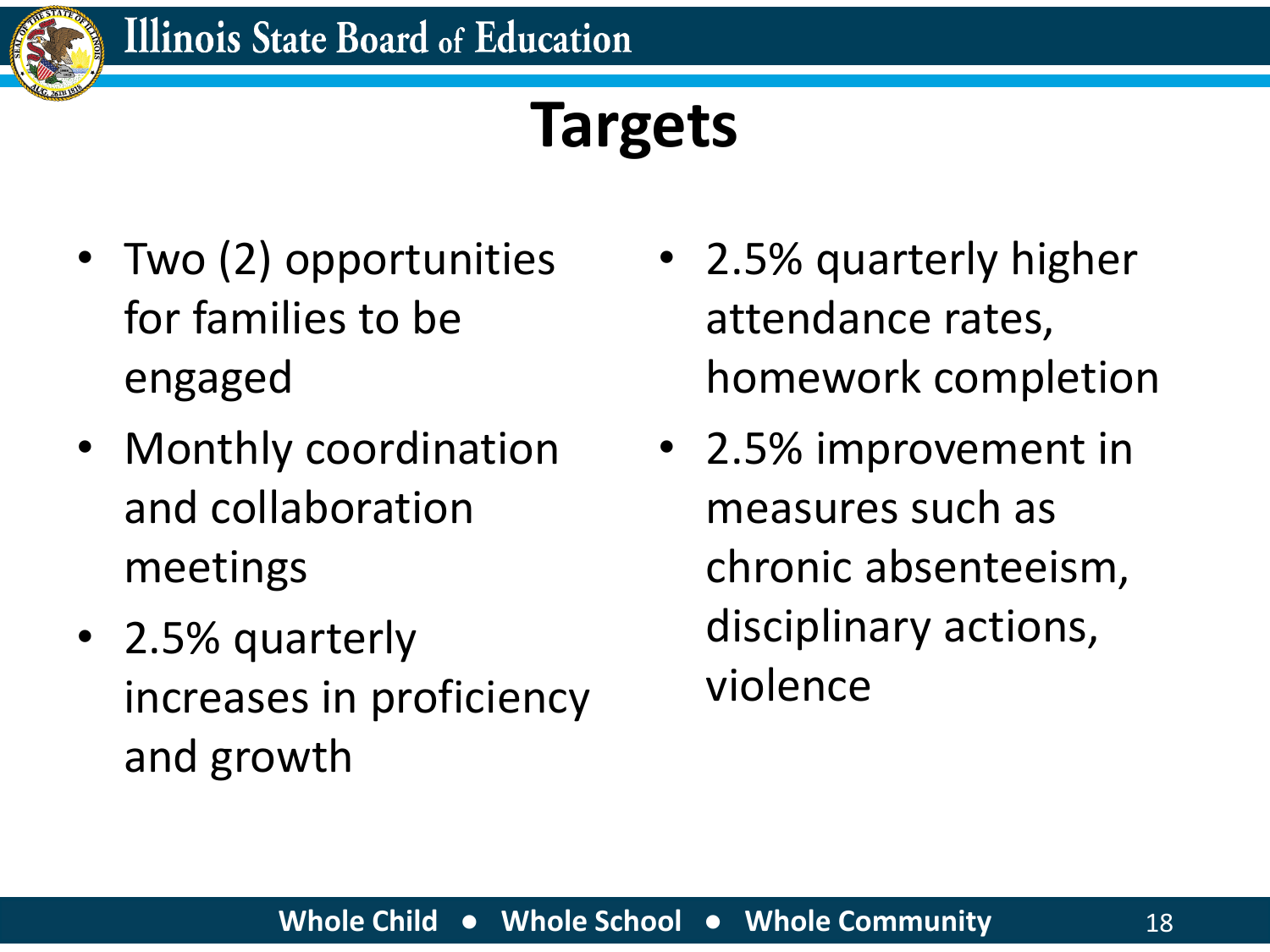![](_page_17_Picture_0.jpeg)

#### **Targets**

- Two (2) opportunities for families to be engaged
- Monthly coordination and collaboration meetings
- 2.5% quarterly increases in proficiency and growth
- 2.5% quarterly higher attendance rates, homework completion
- 2.5% improvement in measures such as chronic absenteeism, disciplinary actions, violence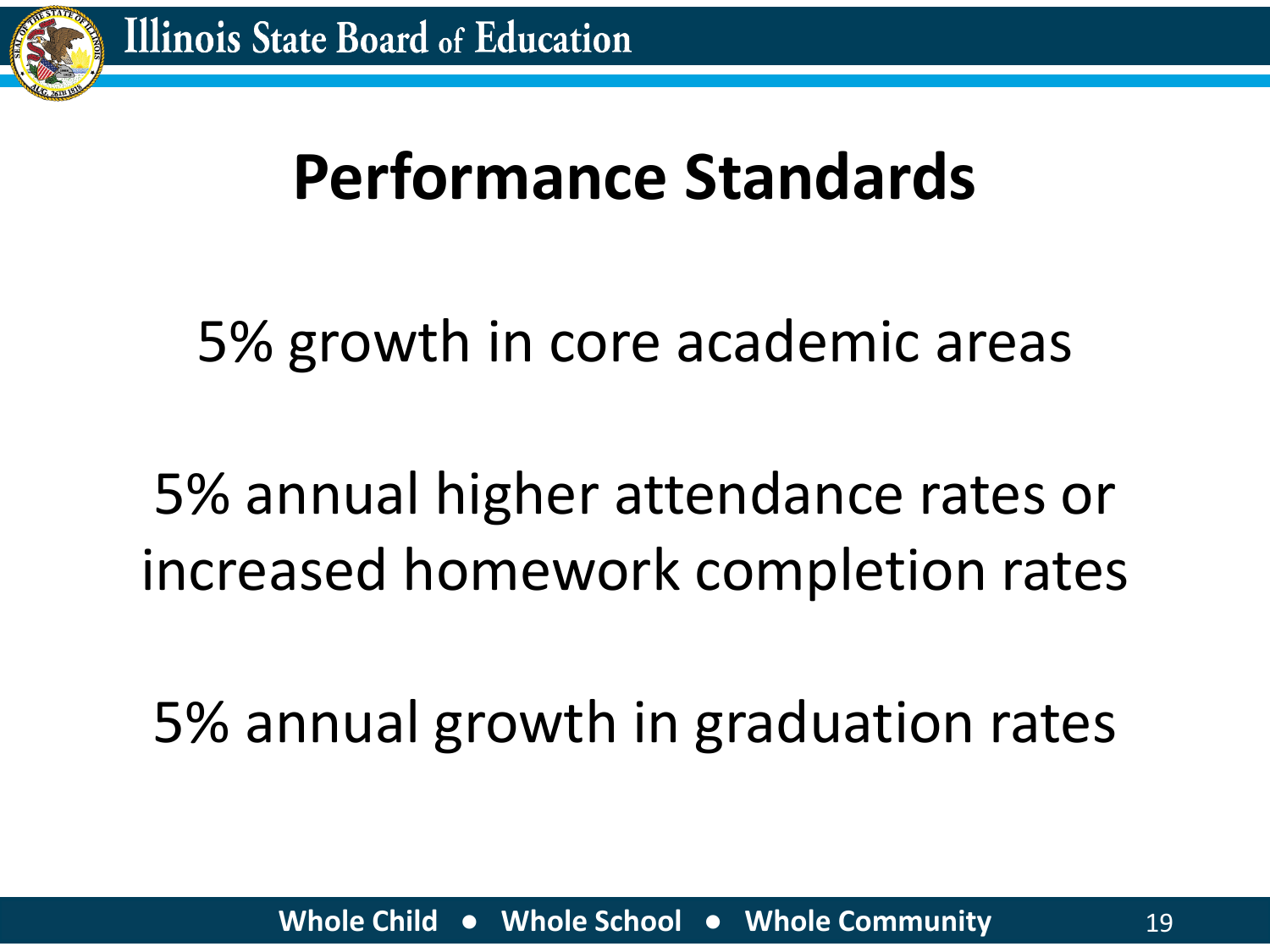![](_page_18_Picture_0.jpeg)

#### **Performance Standards**

#### 5% growth in core academic areas

#### 5% annual higher attendance rates or increased homework completion rates

5% annual growth in graduation rates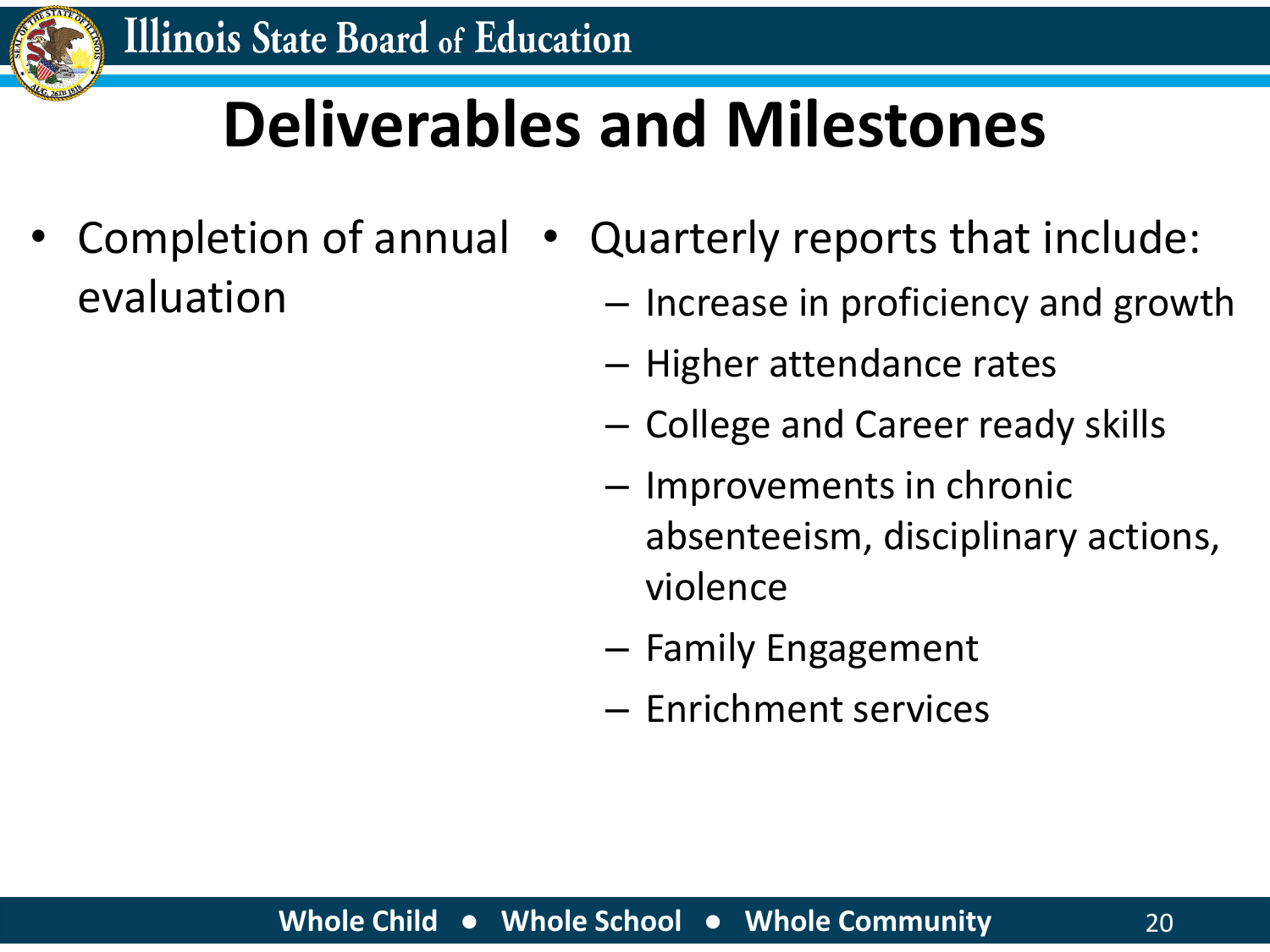![](_page_19_Picture_0.jpeg)

### **Deliverables and Milestones**

- Completion of annual evaluation
- Quarterly reports that include:
	- Increase in proficiency and growth
	- Higher attendance rates
	- College and Career ready skills
	- Improvements in chronic absenteeism, disciplinary actions, violence
	- Family Engagement
	- Enrichment services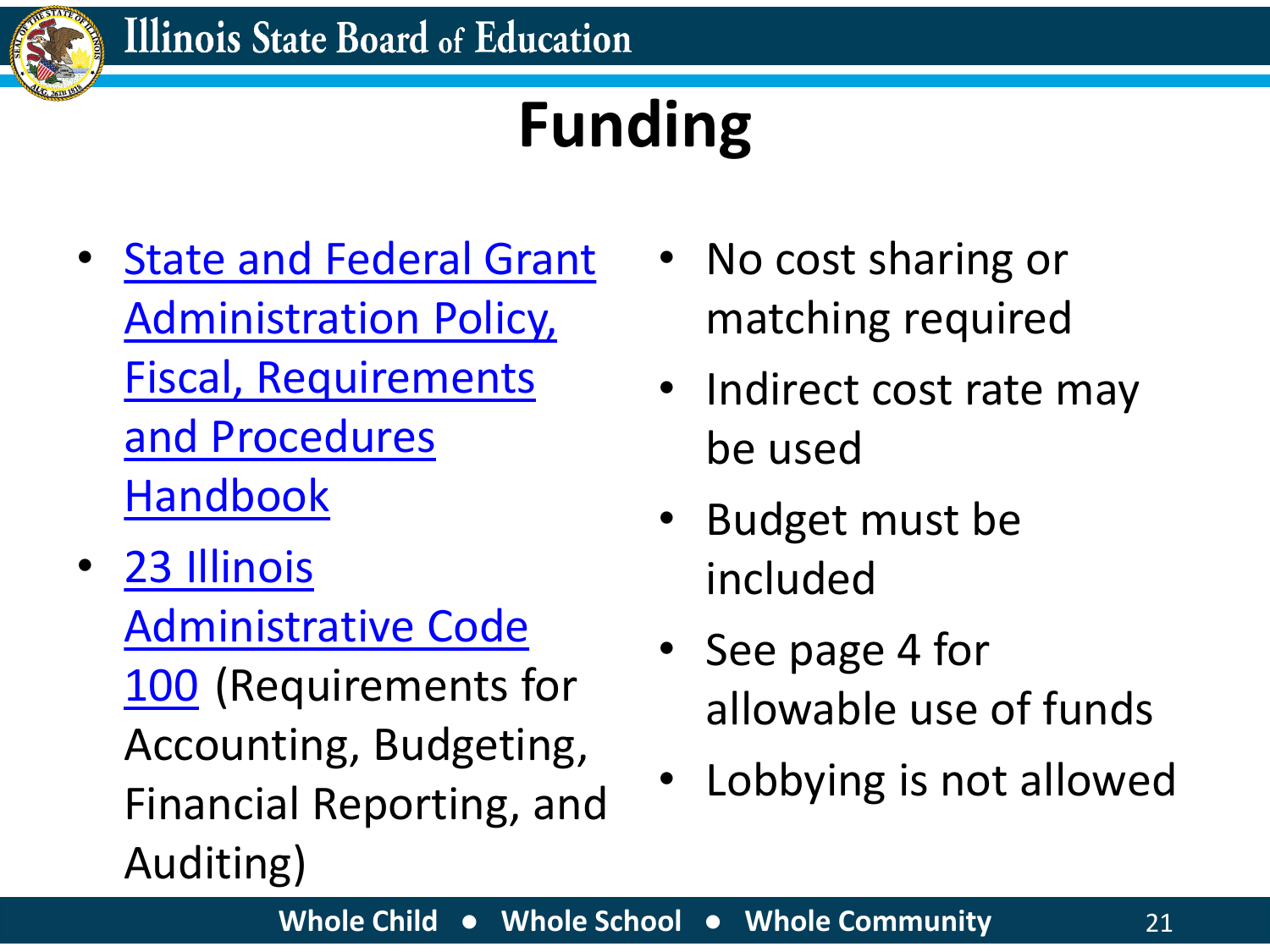![](_page_20_Picture_0.jpeg)

## **Funding**

- State and Federal Grant [Administration Policy,](https://www.isbe.net/Documents/fiscal_procedure_handbk.pdf#search=fiscal%20handbook)  Fiscal, Requirements and Procedures Handbook
- 23 Illinois [Administrative Code](https://www.isbe.net/Documents/100ARK.pdf#search=23%20illinois) 100 (Requirements for Accounting, Budgeting, Financial Reporting, and Auditing)
- No cost sharing or matching required
- Indirect cost rate may be used
- Budget must be included
- See page 4 for allowable use of funds
- Lobbying is not allowed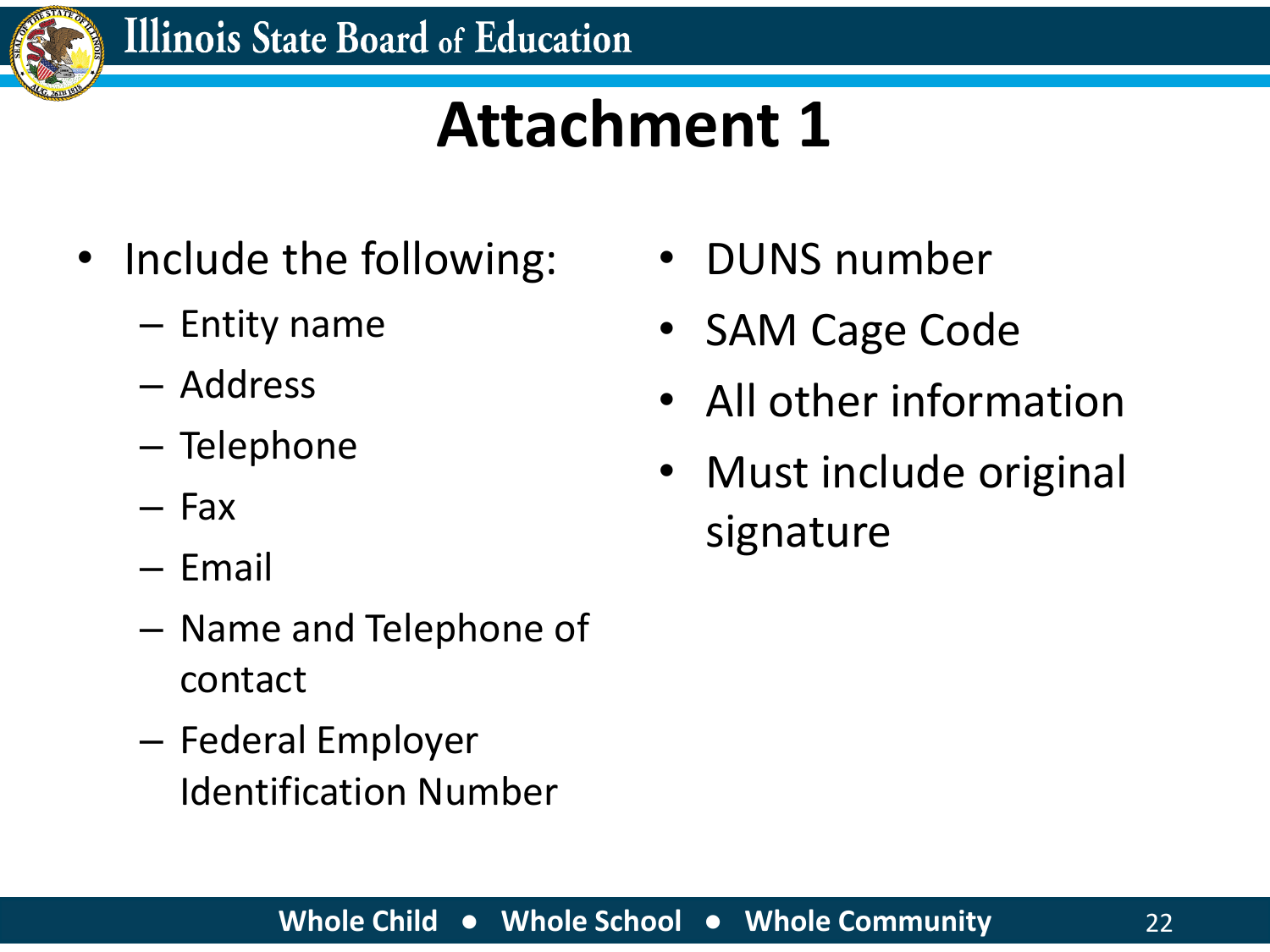![](_page_21_Picture_0.jpeg)

#### **Attachment 1**

- Include the following:
	- Entity name
	- Address
	- Telephone
	- Fax
	- Email
	- Name and Telephone of contact
	- Federal Employer Identification Number
- DUNS number
- SAM Cage Code
- All other information
- Must include original signature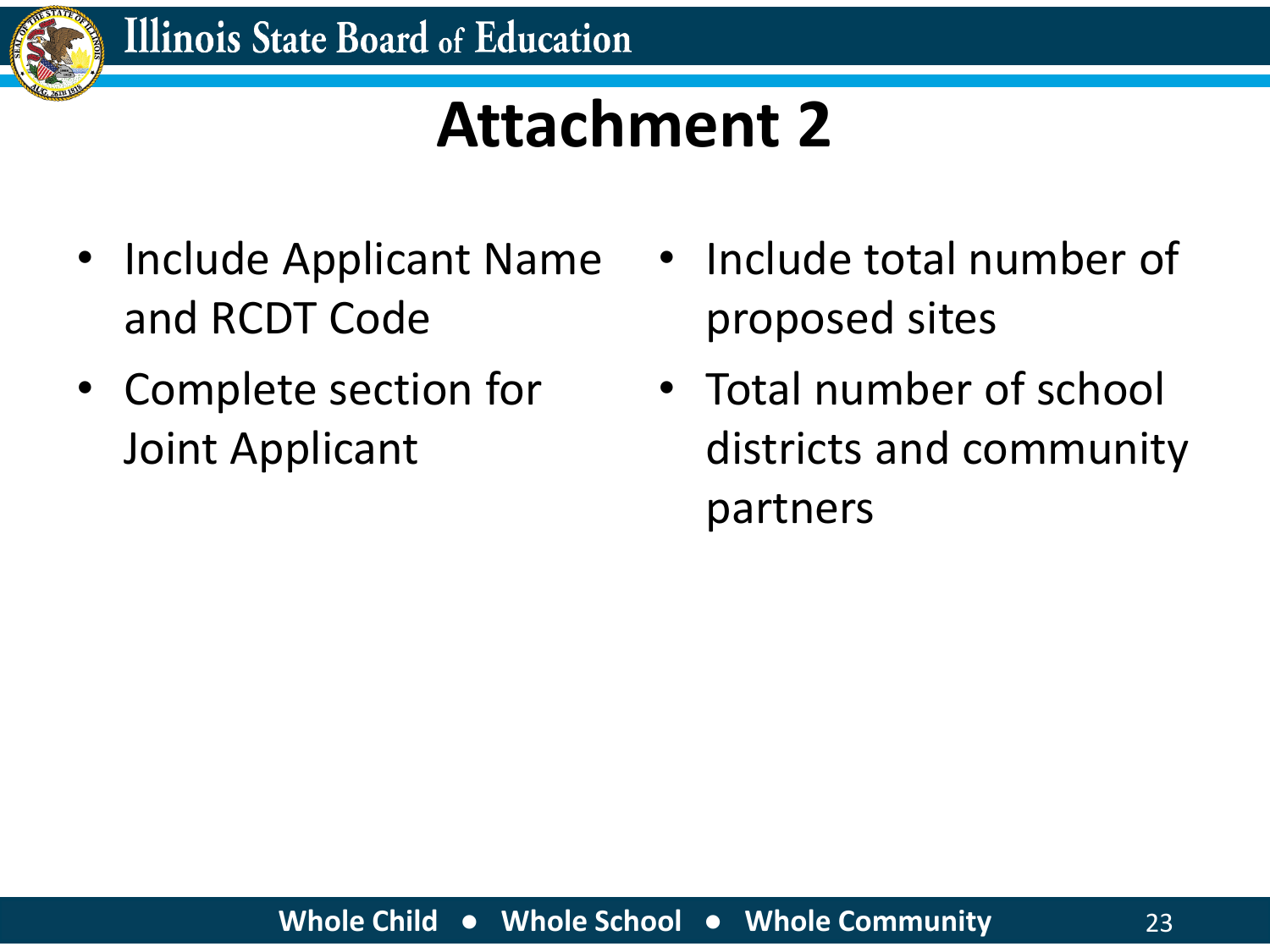![](_page_22_Picture_0.jpeg)

### **Attachment 2**

- Include Applicant Name and RCDT Code
- Complete section for Joint Applicant
- Include total number of proposed sites
- Total number of school districts and community partners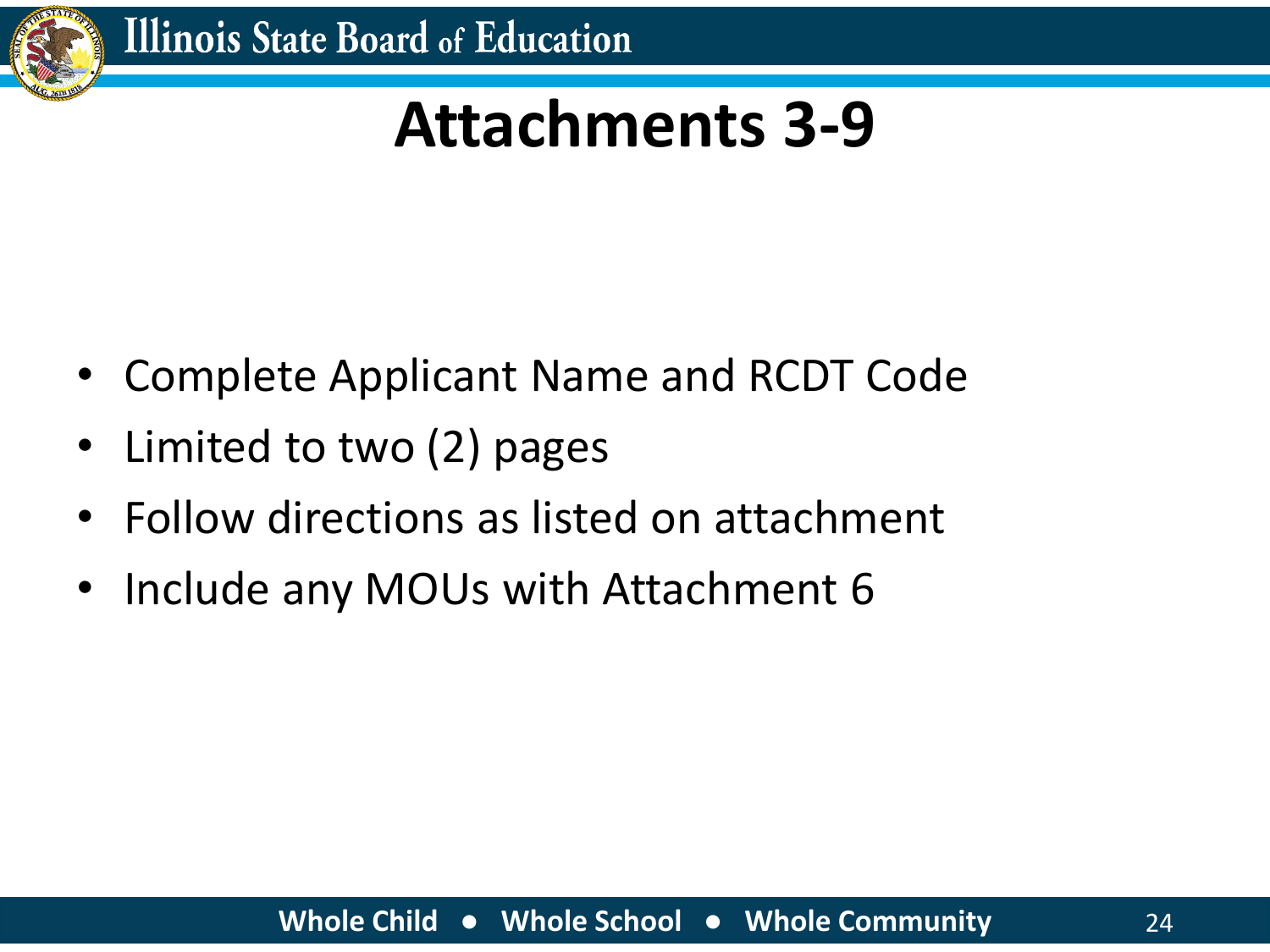![](_page_23_Picture_0.jpeg)

#### **Attachments 3-9**

- Complete Applicant Name and RCDT Code
- Limited to two (2) pages
- Follow directions as listed on attachment
- Include any MOUs with Attachment 6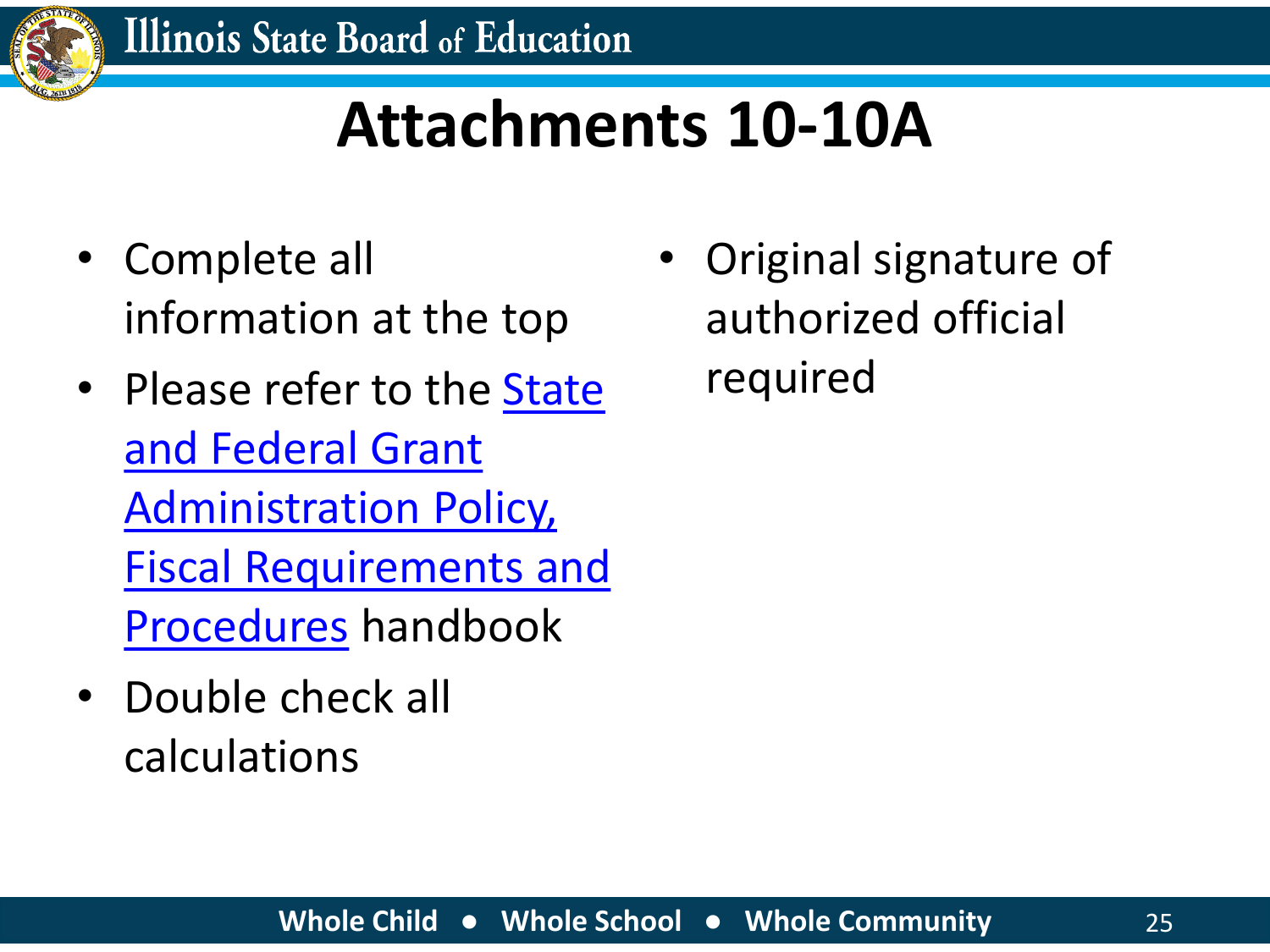![](_page_24_Picture_0.jpeg)

#### **Attachments 10-10A**

- Complete all information at the top
- Please refer to the State and Federal Grant Administration Policy, [Fiscal Requirements and](https://www.isbe.net/Documents/fiscal_procedure_handbk.pdf#search=fiscal) Procedures handbook
- Double check all calculations

• Original signature of authorized official required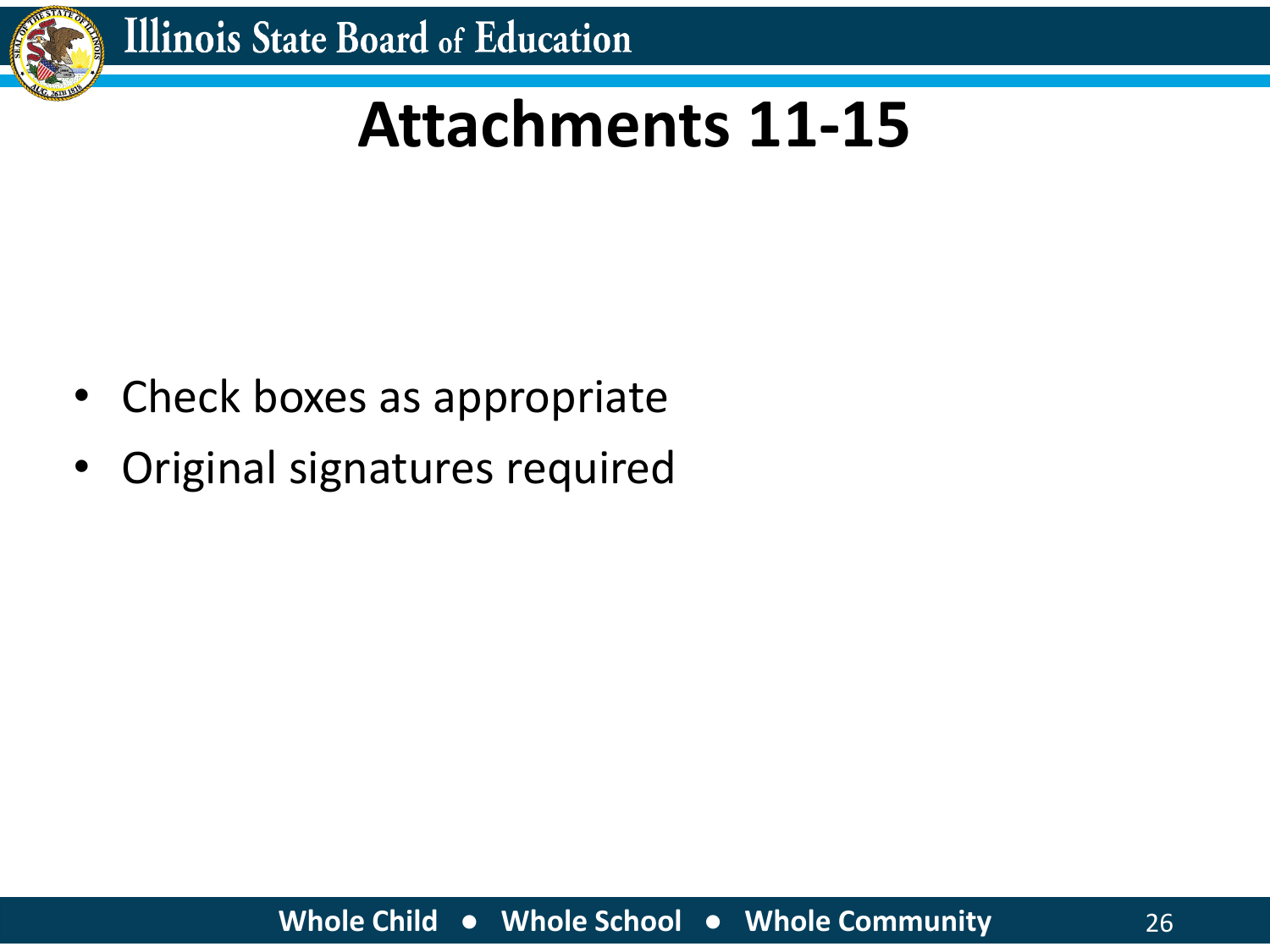![](_page_25_Picture_0.jpeg)

#### **Attachments 11-15**

- Check boxes as appropriate
- Original signatures required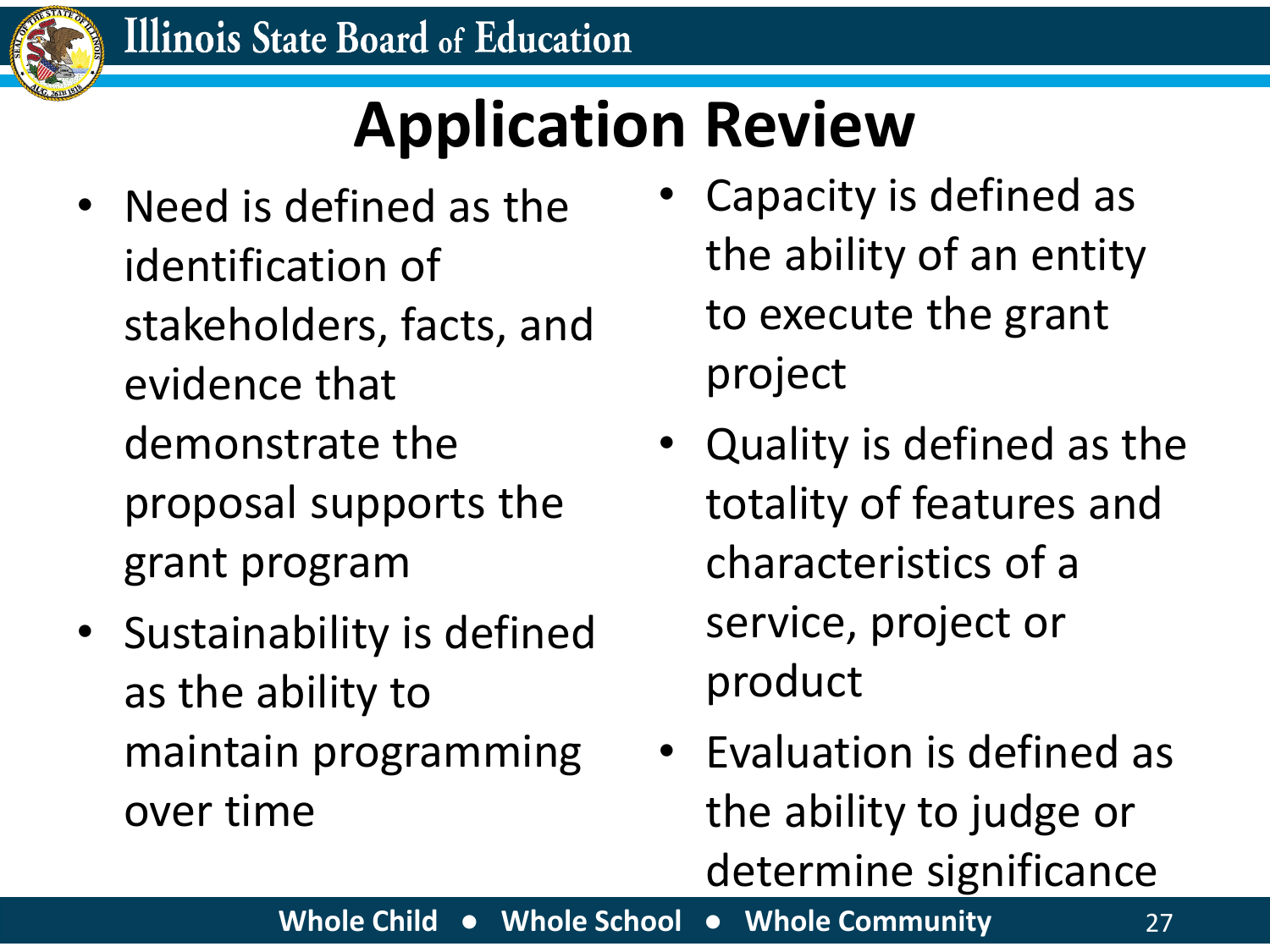![](_page_26_Picture_0.jpeg)

## **Application Review**

- Need is defined as the identification of stakeholders, facts, and evidence that demonstrate the proposal supports the grant program
- Sustainability is defined as the ability to maintain programming over time
- Capacity is defined as the ability of an entity to execute the grant project
- Quality is defined as the totality of features and characteristics of a service, project or product
- Evaluation is defined as the ability to judge or determine significance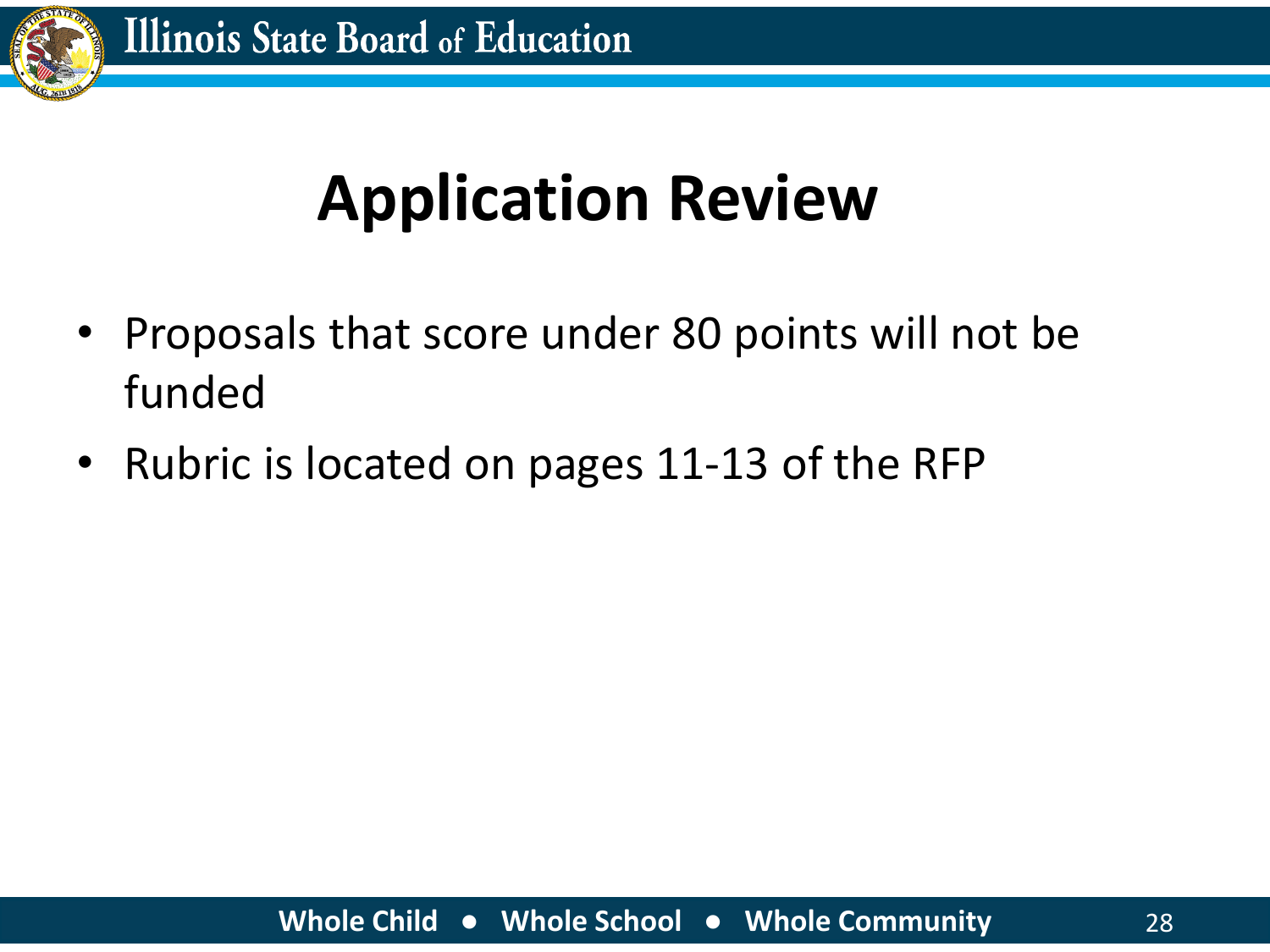![](_page_27_Picture_0.jpeg)

### **Application Review**

- Proposals that score under 80 points will not be funded
- Rubric is located on pages 11-13 of the RFP